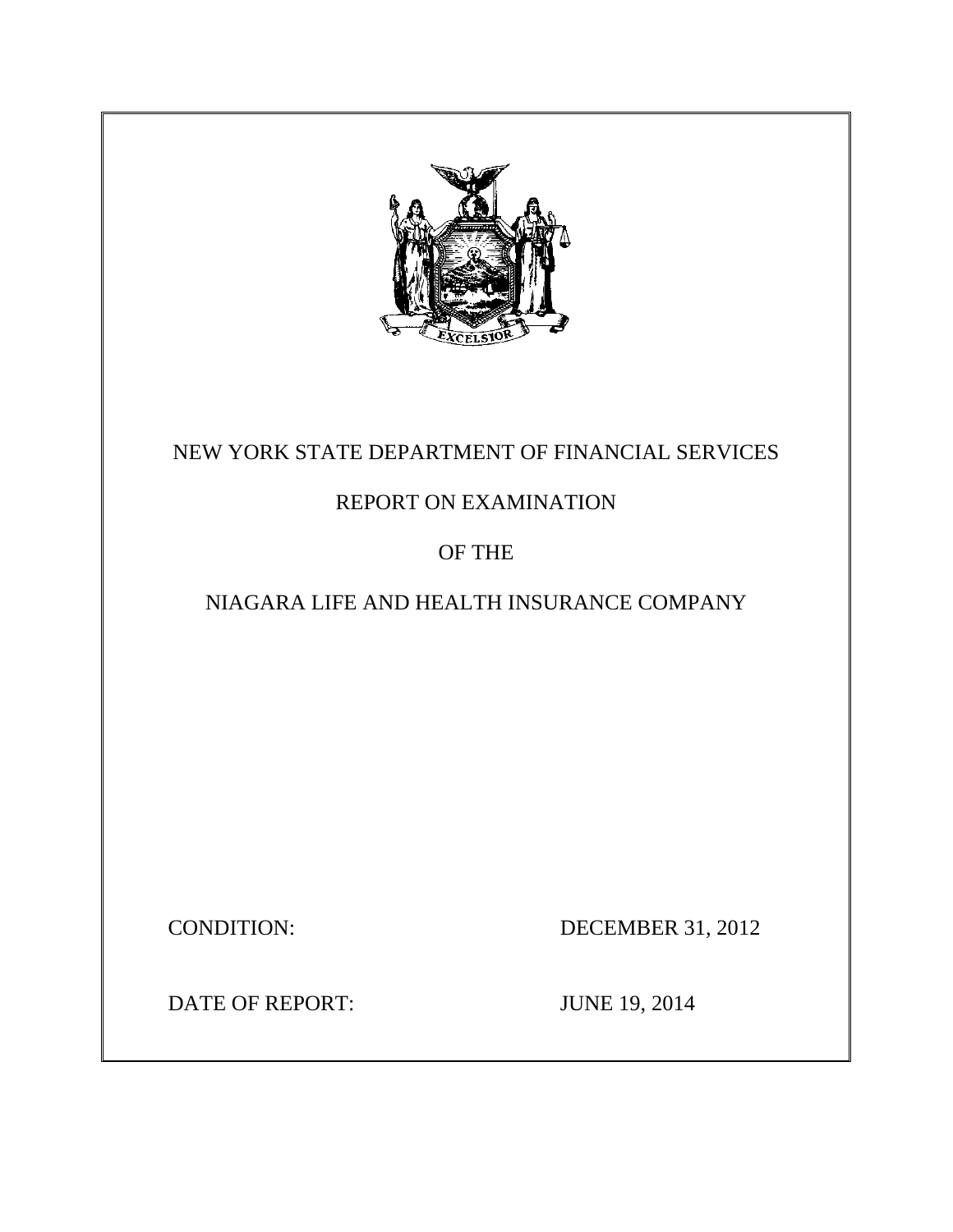

# NEW YORK STATE DEPARTMENT OF FINANCIAL SERVICES

# REPORT ON EXAMINATION

## OF THE

# NIAGARA LIFE AND HEALTH INSURANCE COMPANY

CONDITION: DECEMBER 31, 2012

DATE OF REPORT: JUNE 19, 2014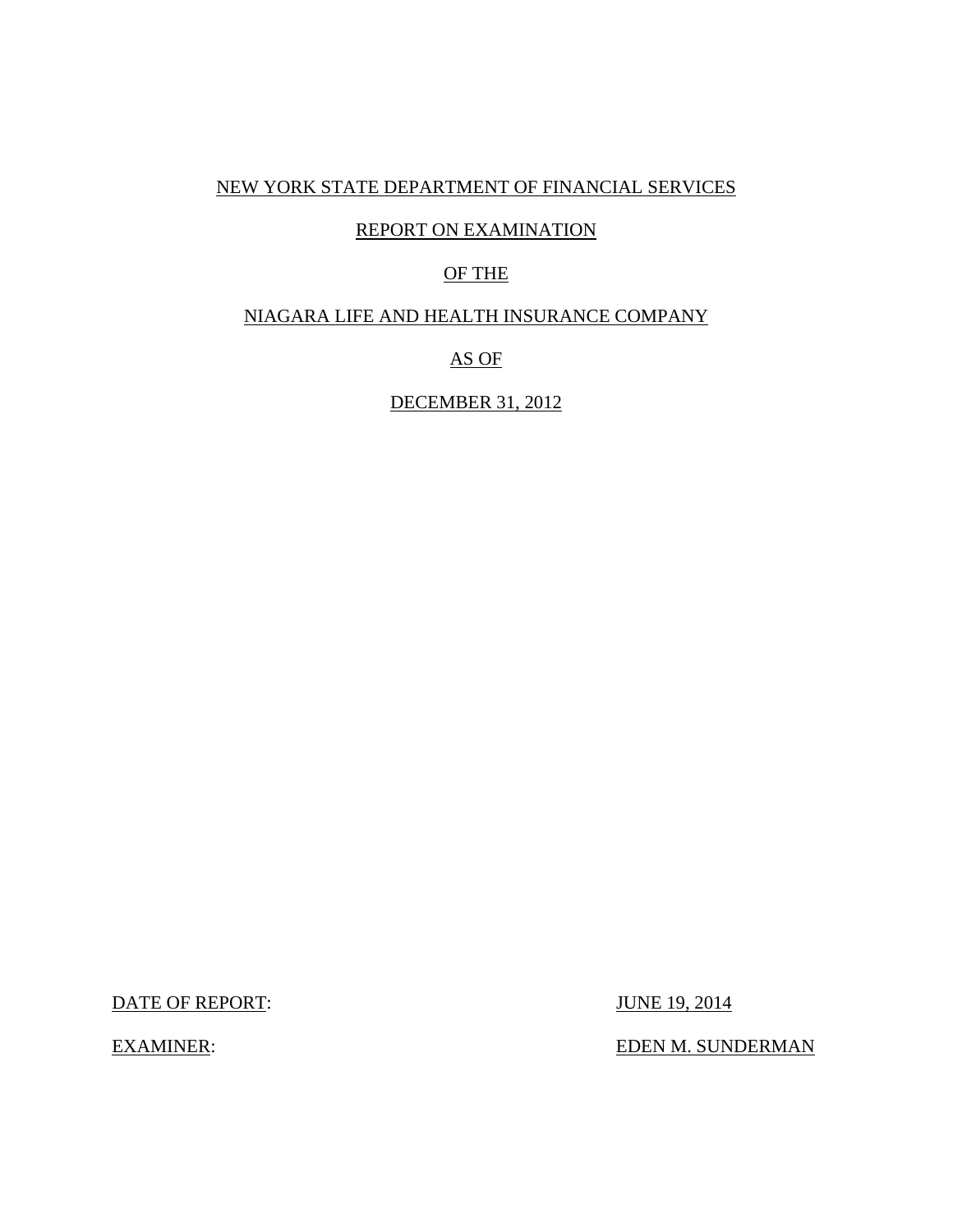## NEW YORK STATE DEPARTMENT OF FINANCIAL SERVICES

### REPORT ON EXAMINATION

### OF THE

## NIAGARA LIFE AND HEALTH INSURANCE COMPANY

## AS OF

## DECEMBER 31, 2012

DATE OF REPORT: JUNE 19, 2014

EXAMINER: EXAMINER: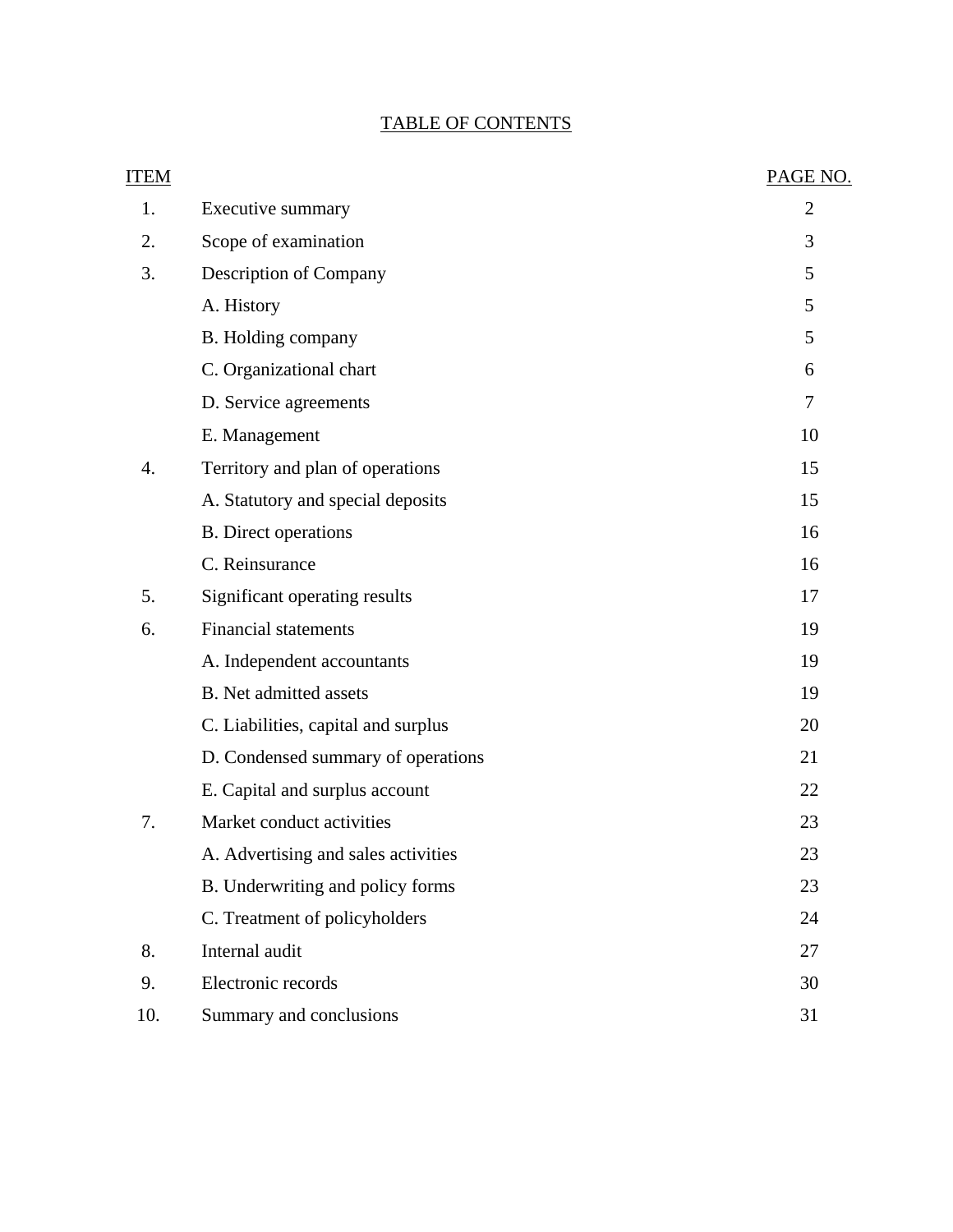## TABLE OF CONTENTS

| <b>ITEM</b> |                                     | PAGE NO.       |
|-------------|-------------------------------------|----------------|
| 1.          | Executive summary                   | $\overline{2}$ |
| 2.          | Scope of examination                | 3              |
| 3.          | Description of Company              | 5              |
|             | A. History                          | 5              |
|             | B. Holding company                  | 5              |
|             | C. Organizational chart             | 6              |
|             | D. Service agreements               | 7              |
|             | E. Management                       | 10             |
| 4.          | Territory and plan of operations    | 15             |
|             | A. Statutory and special deposits   | 15             |
|             | <b>B.</b> Direct operations         | 16             |
|             | C. Reinsurance                      | 16             |
| 5.          | Significant operating results       | 17             |
| 6.          | <b>Financial statements</b>         | 19             |
|             | A. Independent accountants          | 19             |
|             | <b>B.</b> Net admitted assets       | 19             |
|             | C. Liabilities, capital and surplus | 20             |
|             | D. Condensed summary of operations  | 21             |
|             | E. Capital and surplus account      | 22             |
| 7.          | Market conduct activities           | 23             |
|             | A. Advertising and sales activities | 23             |
|             | B. Underwriting and policy forms    | 23             |
|             | C. Treatment of policyholders       | 24             |
| 8.          | Internal audit                      | 27             |
| 9.          | Electronic records                  | 30             |
| 10.         | Summary and conclusions             | 31             |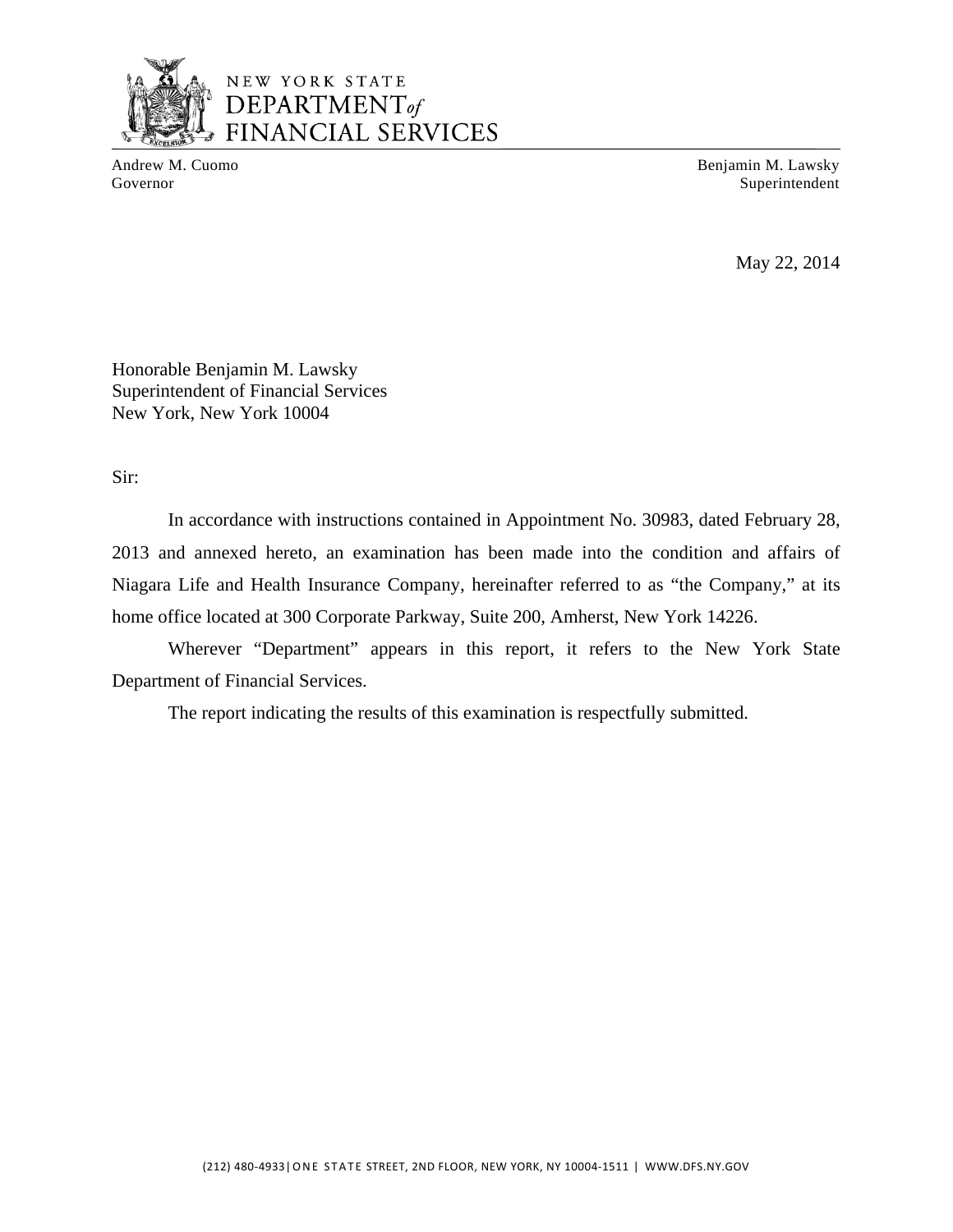

## NEW YORK STATE NEW YORK STATE<br>DEPARTMENT of FINANCIAL SERVICES

Andrew M. Cuomo **Benjamin M. Lawsky** Governor Superintendent Superintendent Superintendent Superintendent Superintendent Superintendent Superintendent Superintendent Superintendent Superintendent Superintendent Superintendent Superintendent Superintendent Sup

May 22, 2014

Honorable Benjamin M. Lawsky Superintendent of Financial Services New York, New York 10004

Sir:

In accordance with instructions contained in Appointment No. 30983, dated February 28, 2013 and annexed hereto, an examination has been made into the condition and affairs of Niagara Life and Health Insurance Company, hereinafter referred to as "the Company," at its home office located at 300 Corporate Parkway, Suite 200, Amherst, New York 14226.

Wherever "Department" appears in this report, it refers to the New York State Department of Financial Services.

The report indicating the results of this examination is respectfully submitted.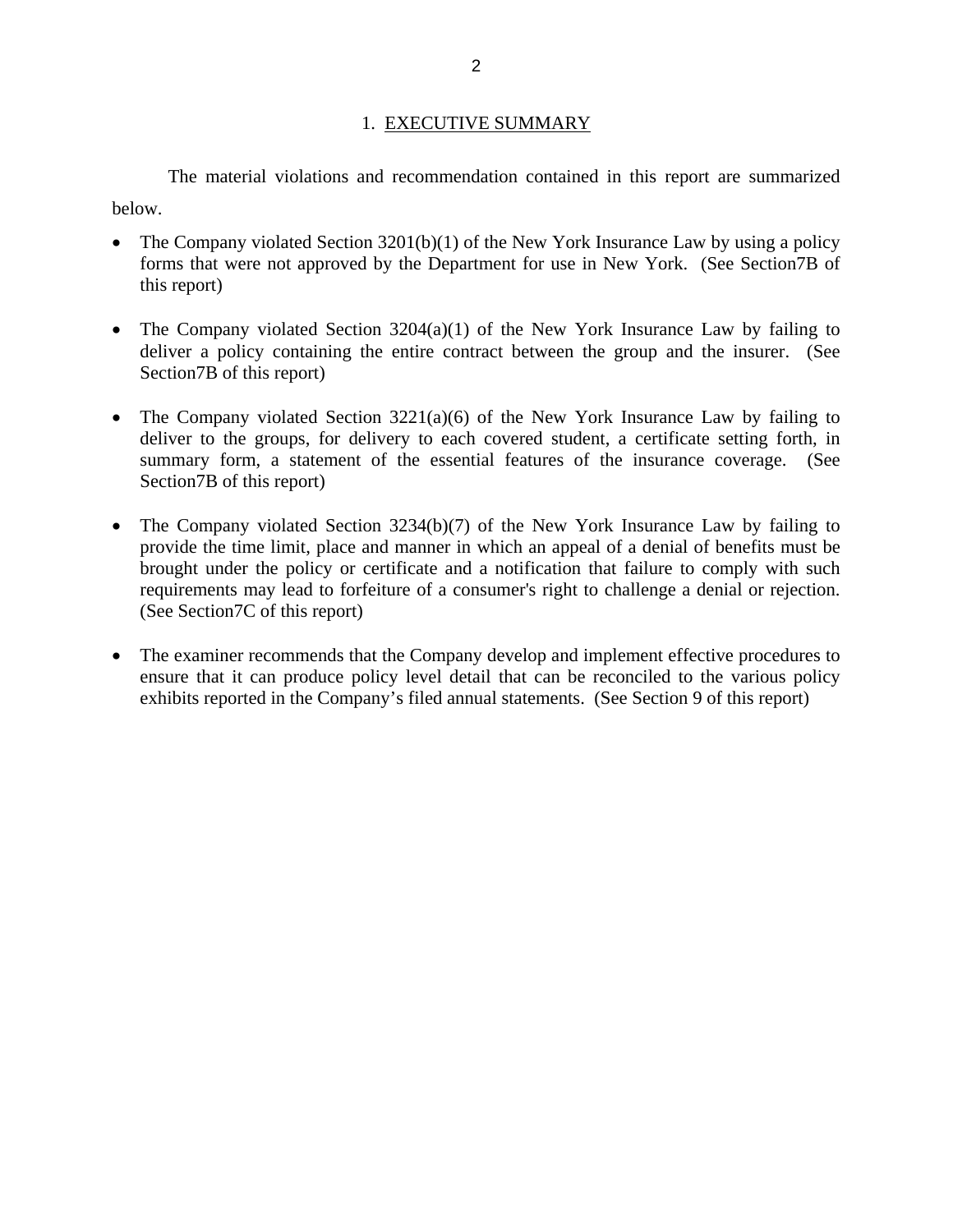### 1. EXECUTIVE SUMMARY

<span id="page-4-0"></span>The material violations and recommendation contained in this report are summarized below.

- The Company violated Section 3201(b)(1) of the New York Insurance Law by using a policy forms that were not approved by the Department for use in New York. (See Section7B of this report)
- The Company violated Section  $3204(a)(1)$  of the New York Insurance Law by failing to deliver a policy containing the entire contract between the group and the insurer. (See Section7B of this report)
- The Company violated Section  $3221(a)(6)$  of the New York Insurance Law by failing to deliver to the groups, for delivery to each covered student, a certificate setting forth, in summary form, a statement of the essential features of the insurance coverage. (See Section7B of this report)
- The Company violated Section 3234(b)(7) of the New York Insurance Law by failing to provide the time limit, place and manner in which an appeal of a denial of benefits must be brought under the policy or certificate and a notification that failure to comply with such requirements may lead to forfeiture of a consumer's right to challenge a denial or rejection. (See Section7C of this report)
- The examiner recommends that the Company develop and implement effective procedures to ensure that it can produce policy level detail that can be reconciled to the various policy exhibits reported in the Company's filed annual statements. (See Section 9 of this report)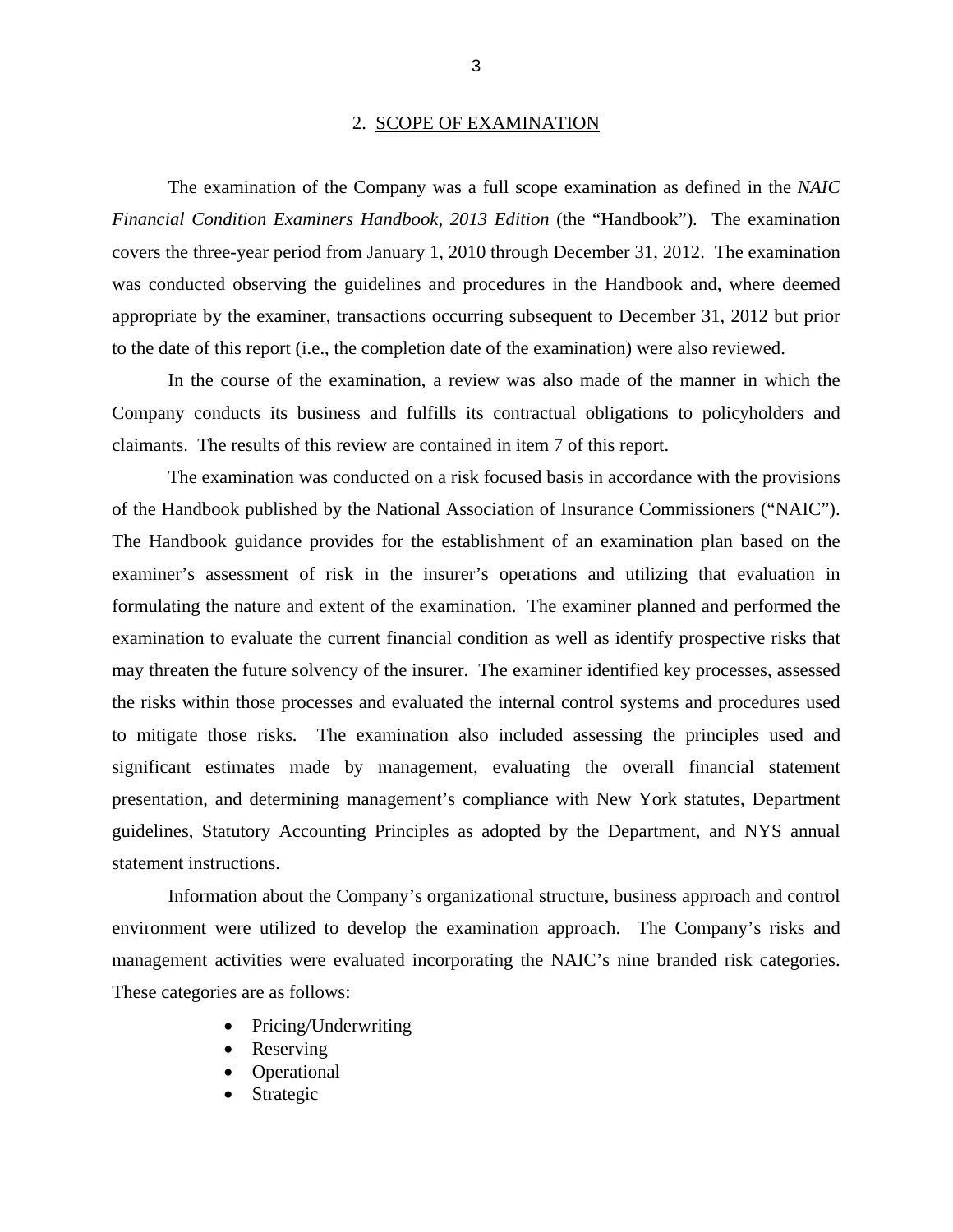#### 2. SCOPE OF EXAMINATION

<span id="page-5-0"></span>The examination of the Company was a full scope examination as defined in the *NAIC Financial Condition Examiners Handbook, 2013 Edition* (the "Handbook"). The examination covers the three-year period from January 1, 2010 through December 31, 2012. The examination was conducted observing the guidelines and procedures in the Handbook and, where deemed appropriate by the examiner, transactions occurring subsequent to December 31, 2012 but prior to the date of this report (i.e., the completion date of the examination) were also reviewed.

In the course of the examination, a review was also made of the manner in which the Company conducts its business and fulfills its contractual obligations to policyholders and claimants. The results of this review are contained in item 7 of this report.

The examination was conducted on a risk focused basis in accordance with the provisions of the Handbook published by the National Association of Insurance Commissioners ("NAIC"). The Handbook guidance provides for the establishment of an examination plan based on the examiner's assessment of risk in the insurer's operations and utilizing that evaluation in formulating the nature and extent of the examination. The examiner planned and performed the examination to evaluate the current financial condition as well as identify prospective risks that may threaten the future solvency of the insurer. The examiner identified key processes, assessed the risks within those processes and evaluated the internal control systems and procedures used to mitigate those risks. The examination also included assessing the principles used and significant estimates made by management, evaluating the overall financial statement presentation, and determining management's compliance with New York statutes, Department guidelines, Statutory Accounting Principles as adopted by the Department, and NYS annual statement instructions.

Information about the Company's organizational structure, business approach and control environment were utilized to develop the examination approach. The Company's risks and management activities were evaluated incorporating the NAIC's nine branded risk categories. These categories are as follows:

- Pricing/Underwriting
- Reserving
- Operational
- Strategic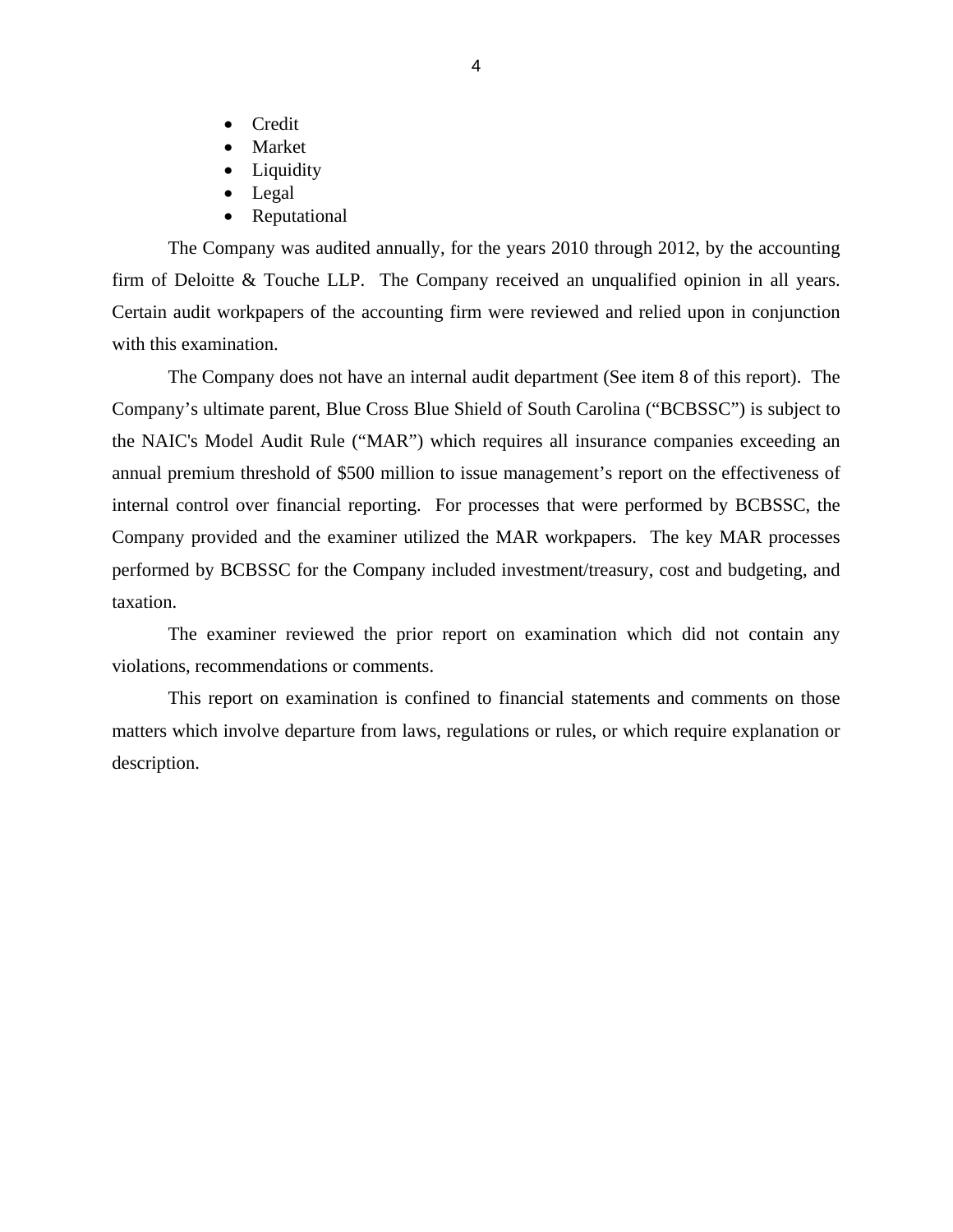- Credit
- Market
- Liquidity
- Legal
- Reputational

The Company was audited annually, for the years 2010 through 2012, by the accounting firm of Deloitte & Touche LLP. The Company received an unqualified opinion in all years. Certain audit workpapers of the accounting firm were reviewed and relied upon in conjunction with this examination.

The Company does not have an internal audit department (See item 8 of this report). The Company's ultimate parent, Blue Cross Blue Shield of South Carolina ("BCBSSC") is subject to the NAIC's Model Audit Rule ("MAR") which requires all insurance companies exceeding an annual premium threshold of \$500 million to issue management's report on the effectiveness of internal control over financial reporting. For processes that were performed by BCBSSC, the Company provided and the examiner utilized the MAR workpapers. The key MAR processes performed by BCBSSC for the Company included investment/treasury, cost and budgeting, and taxation.

The examiner reviewed the prior report on examination which did not contain any violations, recommendations or comments.

This report on examination is confined to financial statements and comments on those matters which involve departure from laws, regulations or rules, or which require explanation or description.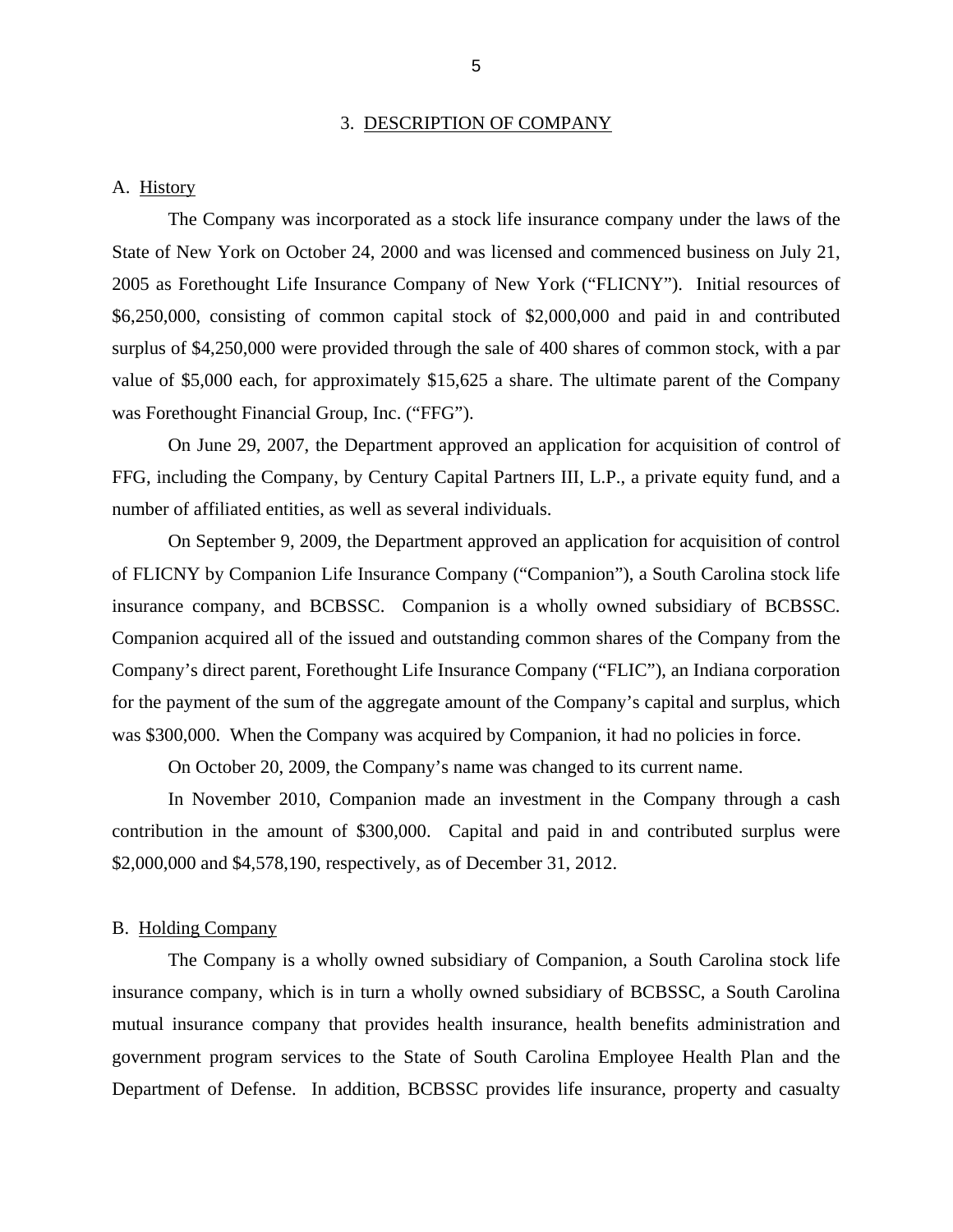#### 3. DESCRIPTION OF COMPANY

#### <span id="page-7-0"></span>A. History

The Company was incorporated as a stock life insurance company under the laws of the State of New York on October 24, 2000 and was licensed and commenced business on July 21, 2005 as Forethought Life Insurance Company of New York ("FLICNY"). Initial resources of \$6,250,000, consisting of common capital stock of \$2,000,000 and paid in and contributed surplus of \$4,250,000 were provided through the sale of 400 shares of common stock, with a par value of \$5,000 each, for approximately \$15,625 a share. The ultimate parent of the Company was Forethought Financial Group, Inc. ("FFG").

On June 29, 2007, the Department approved an application for acquisition of control of FFG, including the Company, by Century Capital Partners III, L.P., a private equity fund, and a number of affiliated entities, as well as several individuals.

insurance company, and BCBSSC. Companion is a wholly owned subsidiary of BCBSSC. On September 9, 2009, the Department approved an application for acquisition of control of FLICNY by Companion Life Insurance Company ("Companion"), a South Carolina stock life Companion acquired all of the issued and outstanding common shares of the Company from the Company's direct parent, Forethought Life Insurance Company ("FLIC"), an Indiana corporation for the payment of the sum of the aggregate amount of the Company's capital and surplus, which was \$300,000. When the Company was acquired by Companion, it had no policies in force.

On October 20, 2009, the Company's name was changed to its current name.

In November 2010, Companion made an investment in the Company through a cash contribution in the amount of \$300,000. Capital and paid in and contributed surplus were \$2,000,000 and \$4,578,190, respectively, as of December 31, 2012.

#### B. Holding Company

The Company is a wholly owned subsidiary of Companion, a South Carolina stock life insurance company, which is in turn a wholly owned subsidiary of BCBSSC, a South Carolina mutual insurance company that provides health insurance, health benefits administration and government program services to the State of South Carolina Employee Health Plan and the Department of Defense. In addition, BCBSSC provides life insurance, property and casualty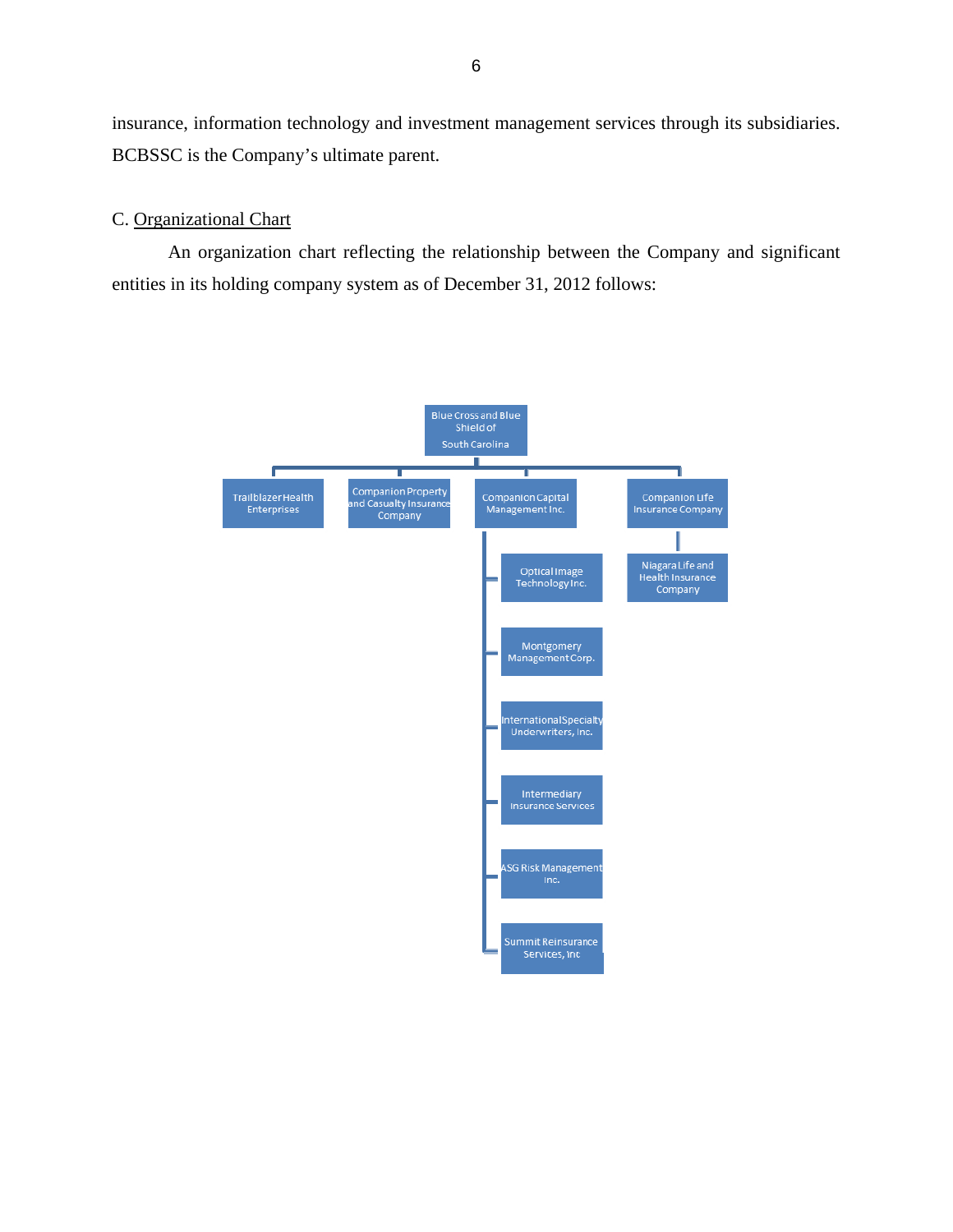<span id="page-8-0"></span>insurance, information technology and investment management services through its subsidiaries. BCBSSC is the Company's ultimate parent.

### C. Organizational Chart

An organization chart reflecting the relationship between the Company and significant entities in its holding company system as of December 31, 2012 follows:

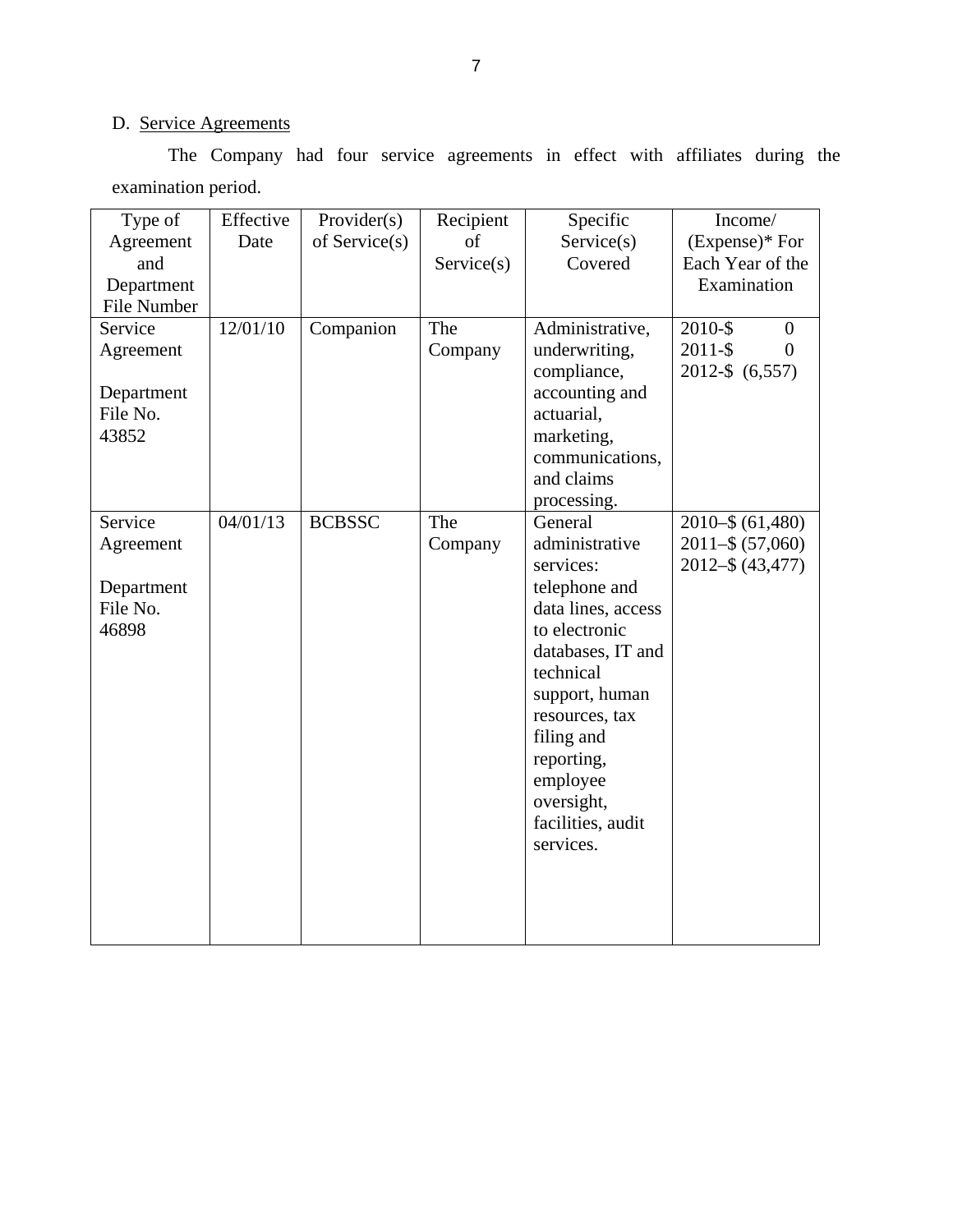## D. Service Agreements

The Company had four service agreements in effect with affiliates during the examination period.

| Date<br>of Service(s)<br>Service(s)<br>$(Express)*For$<br>Agreement<br>of<br>and<br>Service(s)<br>Covered<br>Each Year of the<br>Examination<br>Department<br>File Number<br>12/01/10<br>Service<br>Companion<br>The<br>Administrative,<br>2010-\$<br>$\boldsymbol{0}$<br>underwriting,<br>$2011 - $$<br>Company<br>$\Omega$<br>Agreement<br>compliance,<br>2012-\$ $(6,557)$<br>accounting and<br>Department<br>File No.<br>actuarial,<br>43852<br>marketing,<br>communications,<br>and claims<br>processing.<br>04/01/13<br>Service<br><b>BCBSSC</b><br>The<br>2010-\$ (61,480)<br>General<br>administrative<br>$2011 - $ (57,060)$<br>Company<br>Agreement<br>services:<br>2012-\$ (43,477)<br>Department<br>telephone and<br>File No.<br>data lines, access<br>46898<br>to electronic<br>databases, IT and<br>technical<br>support, human<br>resources, tax<br>filing and<br>reporting,<br>employee<br>oversight,<br>facilities, audit | Type of | Effective | Provider(s) | Recipient | Specific | Income/ |
|--------------------------------------------------------------------------------------------------------------------------------------------------------------------------------------------------------------------------------------------------------------------------------------------------------------------------------------------------------------------------------------------------------------------------------------------------------------------------------------------------------------------------------------------------------------------------------------------------------------------------------------------------------------------------------------------------------------------------------------------------------------------------------------------------------------------------------------------------------------------------------------------------------------------------------------------|---------|-----------|-------------|-----------|----------|---------|
|                                                                                                                                                                                                                                                                                                                                                                                                                                                                                                                                                                                                                                                                                                                                                                                                                                                                                                                                            |         |           |             |           |          |         |
|                                                                                                                                                                                                                                                                                                                                                                                                                                                                                                                                                                                                                                                                                                                                                                                                                                                                                                                                            |         |           |             |           |          |         |
|                                                                                                                                                                                                                                                                                                                                                                                                                                                                                                                                                                                                                                                                                                                                                                                                                                                                                                                                            |         |           |             |           |          |         |
|                                                                                                                                                                                                                                                                                                                                                                                                                                                                                                                                                                                                                                                                                                                                                                                                                                                                                                                                            |         |           |             |           |          |         |
|                                                                                                                                                                                                                                                                                                                                                                                                                                                                                                                                                                                                                                                                                                                                                                                                                                                                                                                                            |         |           |             |           |          |         |
|                                                                                                                                                                                                                                                                                                                                                                                                                                                                                                                                                                                                                                                                                                                                                                                                                                                                                                                                            |         |           |             |           |          |         |
|                                                                                                                                                                                                                                                                                                                                                                                                                                                                                                                                                                                                                                                                                                                                                                                                                                                                                                                                            |         |           |             |           |          |         |
|                                                                                                                                                                                                                                                                                                                                                                                                                                                                                                                                                                                                                                                                                                                                                                                                                                                                                                                                            |         |           |             |           |          |         |
|                                                                                                                                                                                                                                                                                                                                                                                                                                                                                                                                                                                                                                                                                                                                                                                                                                                                                                                                            |         |           |             |           |          |         |
|                                                                                                                                                                                                                                                                                                                                                                                                                                                                                                                                                                                                                                                                                                                                                                                                                                                                                                                                            |         |           |             |           |          |         |
|                                                                                                                                                                                                                                                                                                                                                                                                                                                                                                                                                                                                                                                                                                                                                                                                                                                                                                                                            |         |           |             |           |          |         |
|                                                                                                                                                                                                                                                                                                                                                                                                                                                                                                                                                                                                                                                                                                                                                                                                                                                                                                                                            |         |           |             |           |          |         |
|                                                                                                                                                                                                                                                                                                                                                                                                                                                                                                                                                                                                                                                                                                                                                                                                                                                                                                                                            |         |           |             |           |          |         |
|                                                                                                                                                                                                                                                                                                                                                                                                                                                                                                                                                                                                                                                                                                                                                                                                                                                                                                                                            |         |           |             |           |          |         |
|                                                                                                                                                                                                                                                                                                                                                                                                                                                                                                                                                                                                                                                                                                                                                                                                                                                                                                                                            |         |           |             |           |          |         |
|                                                                                                                                                                                                                                                                                                                                                                                                                                                                                                                                                                                                                                                                                                                                                                                                                                                                                                                                            |         |           |             |           |          |         |
|                                                                                                                                                                                                                                                                                                                                                                                                                                                                                                                                                                                                                                                                                                                                                                                                                                                                                                                                            |         |           |             |           |          |         |
|                                                                                                                                                                                                                                                                                                                                                                                                                                                                                                                                                                                                                                                                                                                                                                                                                                                                                                                                            |         |           |             |           |          |         |
|                                                                                                                                                                                                                                                                                                                                                                                                                                                                                                                                                                                                                                                                                                                                                                                                                                                                                                                                            |         |           |             |           |          |         |
|                                                                                                                                                                                                                                                                                                                                                                                                                                                                                                                                                                                                                                                                                                                                                                                                                                                                                                                                            |         |           |             |           |          |         |
|                                                                                                                                                                                                                                                                                                                                                                                                                                                                                                                                                                                                                                                                                                                                                                                                                                                                                                                                            |         |           |             |           |          |         |
|                                                                                                                                                                                                                                                                                                                                                                                                                                                                                                                                                                                                                                                                                                                                                                                                                                                                                                                                            |         |           |             |           |          |         |
|                                                                                                                                                                                                                                                                                                                                                                                                                                                                                                                                                                                                                                                                                                                                                                                                                                                                                                                                            |         |           |             |           |          |         |
|                                                                                                                                                                                                                                                                                                                                                                                                                                                                                                                                                                                                                                                                                                                                                                                                                                                                                                                                            |         |           |             |           |          |         |
|                                                                                                                                                                                                                                                                                                                                                                                                                                                                                                                                                                                                                                                                                                                                                                                                                                                                                                                                            |         |           |             |           |          |         |
|                                                                                                                                                                                                                                                                                                                                                                                                                                                                                                                                                                                                                                                                                                                                                                                                                                                                                                                                            |         |           |             |           |          |         |
|                                                                                                                                                                                                                                                                                                                                                                                                                                                                                                                                                                                                                                                                                                                                                                                                                                                                                                                                            |         |           |             |           |          |         |
| services.                                                                                                                                                                                                                                                                                                                                                                                                                                                                                                                                                                                                                                                                                                                                                                                                                                                                                                                                  |         |           |             |           |          |         |
|                                                                                                                                                                                                                                                                                                                                                                                                                                                                                                                                                                                                                                                                                                                                                                                                                                                                                                                                            |         |           |             |           |          |         |
|                                                                                                                                                                                                                                                                                                                                                                                                                                                                                                                                                                                                                                                                                                                                                                                                                                                                                                                                            |         |           |             |           |          |         |
|                                                                                                                                                                                                                                                                                                                                                                                                                                                                                                                                                                                                                                                                                                                                                                                                                                                                                                                                            |         |           |             |           |          |         |
|                                                                                                                                                                                                                                                                                                                                                                                                                                                                                                                                                                                                                                                                                                                                                                                                                                                                                                                                            |         |           |             |           |          |         |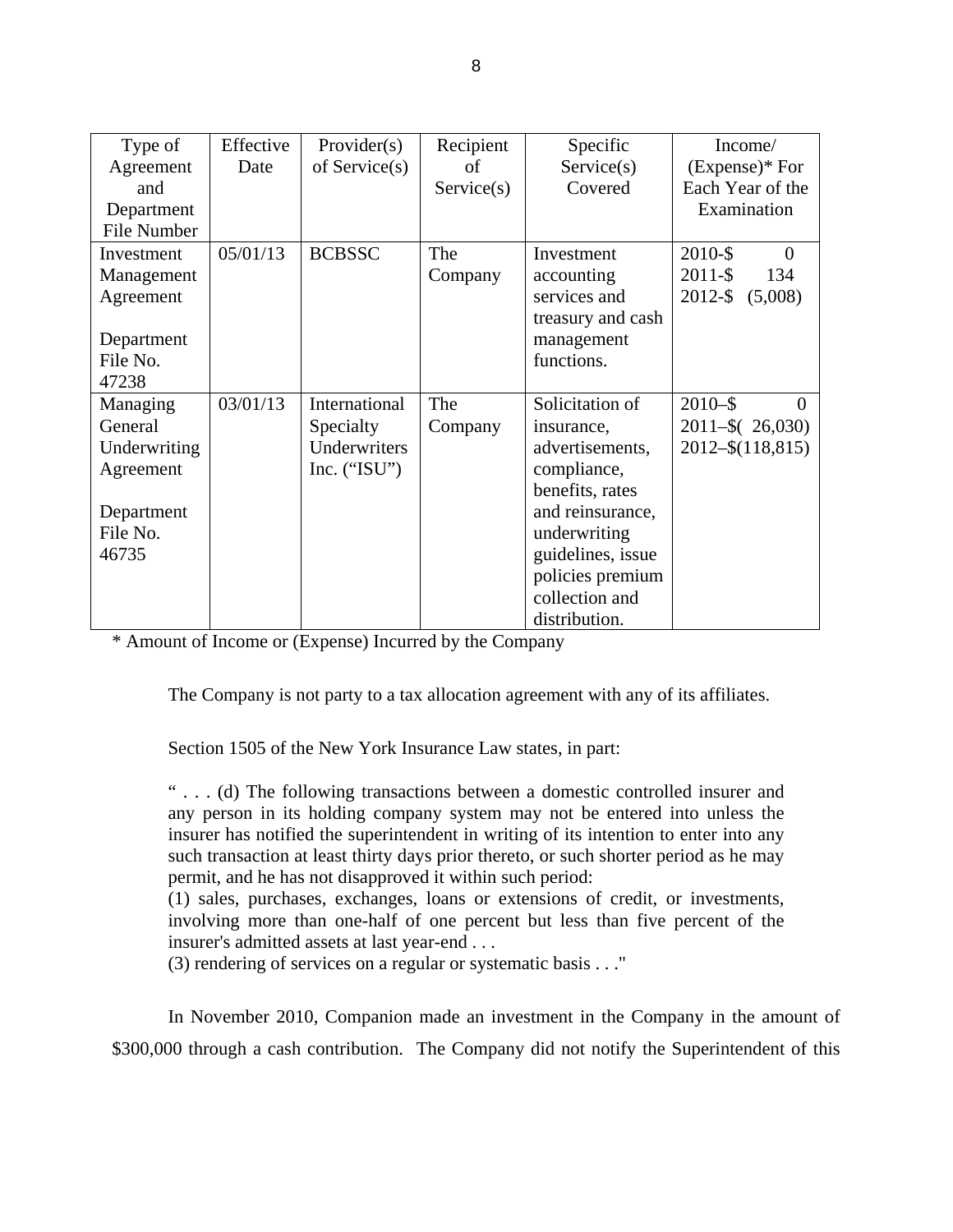| Type of      | Effective | Provider(s)      | Recipient  | Specific          | Income/               |
|--------------|-----------|------------------|------------|-------------------|-----------------------|
| Agreement    | Date      | of Service $(s)$ | of         | Service(s)        | $(Express)*$ For      |
| and          |           |                  | Service(s) | Covered           | Each Year of the      |
| Department   |           |                  |            |                   | Examination           |
| File Number  |           |                  |            |                   |                       |
| Investment   | 05/01/13  | <b>BCBSSC</b>    | The        | Investment        | 2010-\$<br>$\theta$   |
| Management   |           |                  | Company    | accounting        | 134<br>$2011 - $$     |
| Agreement    |           |                  |            | services and      | $2012 - $$<br>(5,008) |
|              |           |                  |            | treasury and cash |                       |
| Department   |           |                  |            | management        |                       |
| File No.     |           |                  |            | functions.        |                       |
| 47238        |           |                  |            |                   |                       |
| Managing     | 03/01/13  | International    | The        | Solicitation of   | $2010 - $$<br>0       |
| General      |           | Specialty        | Company    | insurance,        | $2011 - 5(26,030)$    |
| Underwriting |           | Underwriters     |            | advertisements,   | $2012 - $(118, 815)$  |
| Agreement    |           | Inc. $("ISU")$   |            | compliance,       |                       |
|              |           |                  |            | benefits, rates   |                       |
| Department   |           |                  |            | and reinsurance,  |                       |
| File No.     |           |                  |            | underwriting      |                       |
| 46735        |           |                  |            | guidelines, issue |                       |
|              |           |                  |            | policies premium  |                       |
|              |           |                  |            | collection and    |                       |
|              |           |                  |            | distribution.     |                       |

\* Amount of Income or (Expense) Incurred by the Company

The Company is not party to a tax allocation agreement with any of its affiliates.

Section 1505 of the New York Insurance Law states, in part:

" . . . (d) The following transactions between a domestic controlled insurer and any person in its holding company system may not be entered into unless the insurer has notified the superintendent in writing of its intention to enter into any such transaction at least thirty days prior thereto, or such shorter period as he may permit, and he has not disapproved it within such period:

(1) sales, purchases, exchanges, loans or extensions of credit, or investments, involving more than one-half of one percent but less than five percent of the insurer's admitted assets at last year-end . . .

(3) rendering of services on a regular or systematic basis . . ."

In November 2010, Companion made an investment in the Company in the amount of \$300,000 through a cash contribution. The Company did not notify the Superintendent of this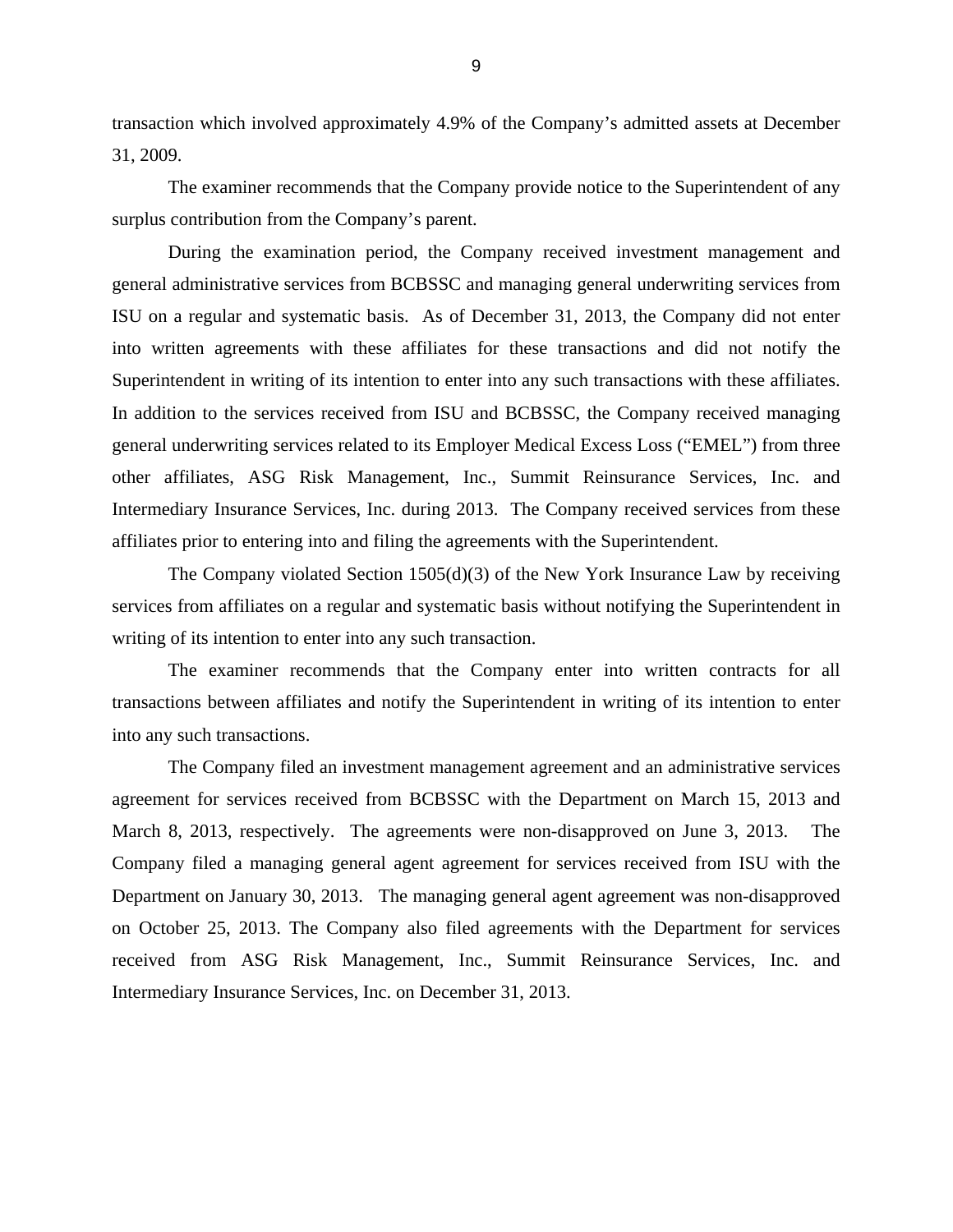transaction which involved approximately 4.9% of the Company's admitted assets at December 31, 2009.

The examiner recommends that the Company provide notice to the Superintendent of any surplus contribution from the Company's parent.

During the examination period, the Company received investment management and general administrative services from BCBSSC and managing general underwriting services from ISU on a regular and systematic basis. As of December 31, 2013, the Company did not enter into written agreements with these affiliates for these transactions and did not notify the Superintendent in writing of its intention to enter into any such transactions with these affiliates. In addition to the services received from ISU and BCBSSC, the Company received managing general underwriting services related to its Employer Medical Excess Loss ("EMEL") from three other affiliates, ASG Risk Management, Inc., Summit Reinsurance Services, Inc. and Intermediary Insurance Services, Inc. during 2013. The Company received services from these affiliates prior to entering into and filing the agreements with the Superintendent.

The Company violated Section  $1505(d)(3)$  of the New York Insurance Law by receiving services from affiliates on a regular and systematic basis without notifying the Superintendent in writing of its intention to enter into any such transaction.

The examiner recommends that the Company enter into written contracts for all transactions between affiliates and notify the Superintendent in writing of its intention to enter into any such transactions.

The Company filed an investment management agreement and an administrative services agreement for services received from BCBSSC with the Department on March 15, 2013 and March 8, 2013, respectively. The agreements were non-disapproved on June 3, 2013. The Company filed a managing general agent agreement for services received from ISU with the Department on January 30, 2013. The managing general agent agreement was non-disapproved on October 25, 2013. The Company also filed agreements with the Department for services received from ASG Risk Management, Inc., Summit Reinsurance Services, Inc. and Intermediary Insurance Services, Inc. on December 31, 2013.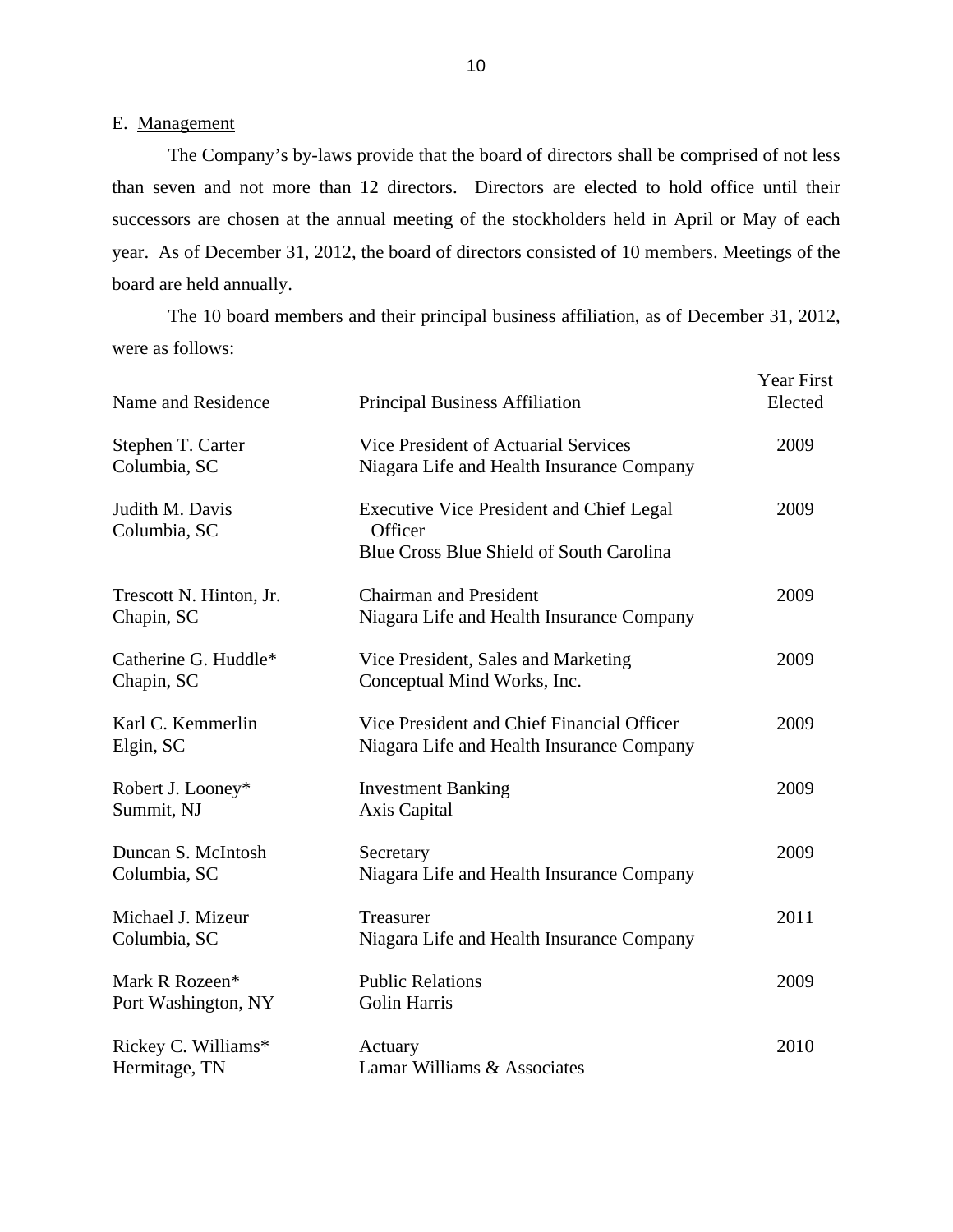### <span id="page-12-0"></span>E. Management

The Company's by-laws provide that the board of directors shall be comprised of not less than seven and not more than 12 directors. Directors are elected to hold office until their successors are chosen at the annual meeting of the stockholders held in April or May of each year. As of December 31, 2012, the board of directors consisted of 10 members. Meetings of the board are held annually.

The 10 board members and their principal business affiliation, as of December 31, 2012, were as follows:

| Name and Residence                    | <b>Principal Business Affiliation</b>                                                                         | <b>Year First</b><br>Elected |
|---------------------------------------|---------------------------------------------------------------------------------------------------------------|------------------------------|
| Stephen T. Carter<br>Columbia, SC     | <b>Vice President of Actuarial Services</b><br>Niagara Life and Health Insurance Company                      | 2009                         |
| Judith M. Davis<br>Columbia, SC       | <b>Executive Vice President and Chief Legal</b><br>Officer<br><b>Blue Cross Blue Shield of South Carolina</b> | 2009                         |
| Trescott N. Hinton, Jr.<br>Chapin, SC | <b>Chairman and President</b><br>Niagara Life and Health Insurance Company                                    | 2009                         |
| Catherine G. Huddle*<br>Chapin, SC    | Vice President, Sales and Marketing<br>Conceptual Mind Works, Inc.                                            | 2009                         |
| Karl C. Kemmerlin<br>Elgin, SC        | Vice President and Chief Financial Officer<br>Niagara Life and Health Insurance Company                       | 2009                         |
| Robert J. Looney*<br>Summit, NJ       | <b>Investment Banking</b><br>Axis Capital                                                                     | 2009                         |
| Duncan S. McIntosh<br>Columbia, SC    | Secretary<br>Niagara Life and Health Insurance Company                                                        | 2009                         |
| Michael J. Mizeur<br>Columbia, SC     | Treasurer<br>Niagara Life and Health Insurance Company                                                        | 2011                         |
| Mark R Rozeen*<br>Port Washington, NY | <b>Public Relations</b><br><b>Golin Harris</b>                                                                | 2009                         |
| Rickey C. Williams*<br>Hermitage, TN  | Actuary<br>Lamar Williams & Associates                                                                        | 2010                         |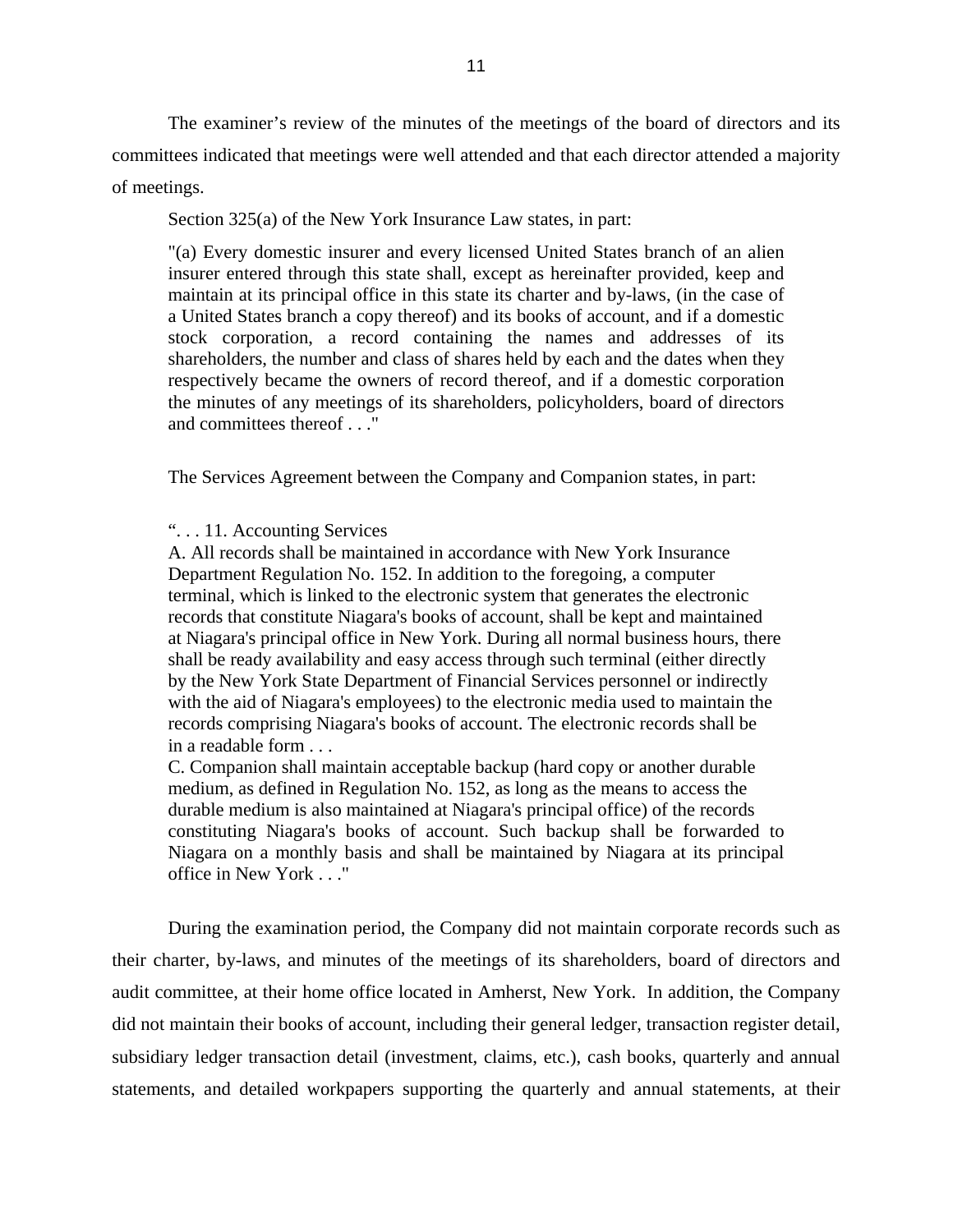The examiner's review of the minutes of the meetings of the board of directors and its committees indicated that meetings were well attended and that each director attended a majority of meetings.

Section 325(a) of the New York Insurance Law states, in part:

"(a) Every domestic insurer and every licensed United States branch of an alien insurer entered through this state shall, except as hereinafter provided, keep and maintain at its principal office in this state its charter and by-laws, (in the case of a United States branch a copy thereof) and its books of account, and if a domestic stock corporation, a record containing the names and addresses of its shareholders, the number and class of shares held by each and the dates when they respectively became the owners of record thereof, and if a domestic corporation the minutes of any meetings of its shareholders, policyholders, board of directors and committees thereof . . ."

The Services Agreement between the Company and Companion states, in part:

#### ". . . 11. Accounting Services

A. All records shall be maintained in accordance with New York Insurance Department Regulation No. 152. In addition to the foregoing, a computer terminal, which is linked to the electronic system that generates the electronic records that constitute Niagara's books of account, shall be kept and maintained at Niagara's principal office in New York. During all normal business hours, there shall be ready availability and easy access through such terminal (either directly by the New York State Department of Financial Services personnel or indirectly with the aid of Niagara's employees) to the electronic media used to maintain the records comprising Niagara's books of account. The electronic records shall be in a readable form . . .

C. Companion shall maintain acceptable backup (hard copy or another durable medium, as defined in Regulation No. 152, as long as the means to access the durable medium is also maintained at Niagara's principal office) of the records constituting Niagara's books of account. Such backup shall be forwarded to Niagara on a monthly basis and shall be maintained by Niagara at its principal office in New York . . ."

During the examination period, the Company did not maintain corporate records such as their charter, by-laws, and minutes of the meetings of its shareholders, board of directors and audit committee, at their home office located in Amherst, New York. In addition, the Company did not maintain their books of account, including their general ledger, transaction register detail, subsidiary ledger transaction detail (investment, claims, etc.), cash books, quarterly and annual statements, and detailed workpapers supporting the quarterly and annual statements, at their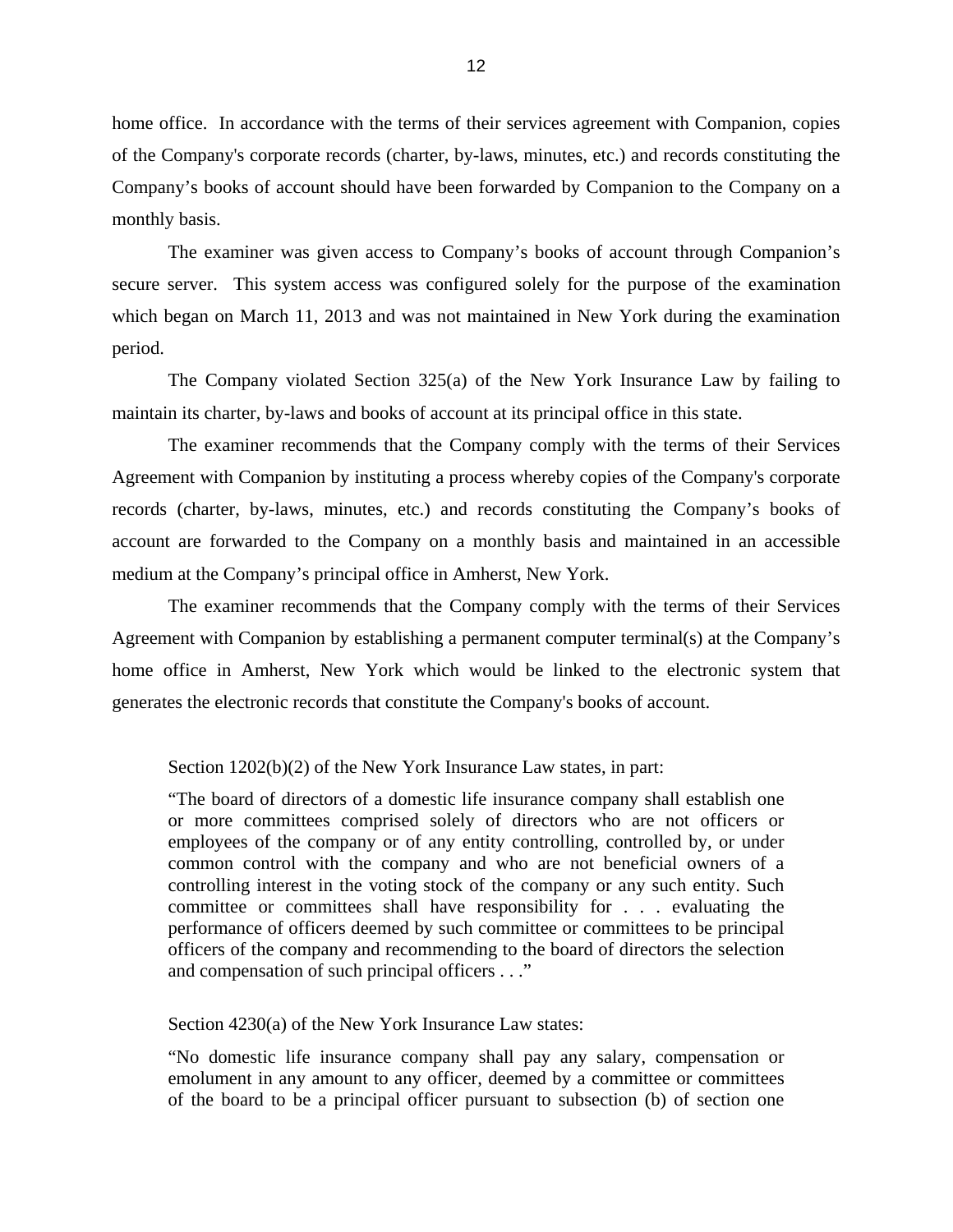home office. In accordance with the terms of their services agreement with Companion, copies of the Company's corporate records (charter, by-laws, minutes, etc.) and records constituting the Company's books of account should have been forwarded by Companion to the Company on a monthly basis.

The examiner was given access to Company's books of account through Companion's secure server. This system access was configured solely for the purpose of the examination which began on March 11, 2013 and was not maintained in New York during the examination period.

The Company violated Section 325(a) of the New York Insurance Law by failing to maintain its charter, by-laws and books of account at its principal office in this state.

The examiner recommends that the Company comply with the terms of their Services Agreement with Companion by instituting a process whereby copies of the Company's corporate records (charter, by-laws, minutes, etc.) and records constituting the Company's books of account are forwarded to the Company on a monthly basis and maintained in an accessible medium at the Company's principal office in Amherst, New York.

The examiner recommends that the Company comply with the terms of their Services Agreement with Companion by establishing a permanent computer terminal(s) at the Company's home office in Amherst, New York which would be linked to the electronic system that generates the electronic records that constitute the Company's books of account.

Section 1202(b)(2) of the New York Insurance Law states, in part:

"The board of directors of a domestic life insurance company shall establish one or more committees comprised solely of directors who are not officers or employees of the company or of any entity controlling, controlled by, or under common control with the company and who are not beneficial owners of a controlling interest in the voting stock of the company or any such entity. Such committee or committees shall have responsibility for . . . evaluating the performance of officers deemed by such committee or committees to be principal officers of the company and recommending to the board of directors the selection and compensation of such principal officers . . ."

Section 4230(a) of the New York Insurance Law states:

"No domestic life insurance company shall pay any salary, compensation or emolument in any amount to any officer, deemed by a committee or committees of the board to be a principal officer pursuant to subsection (b) of section one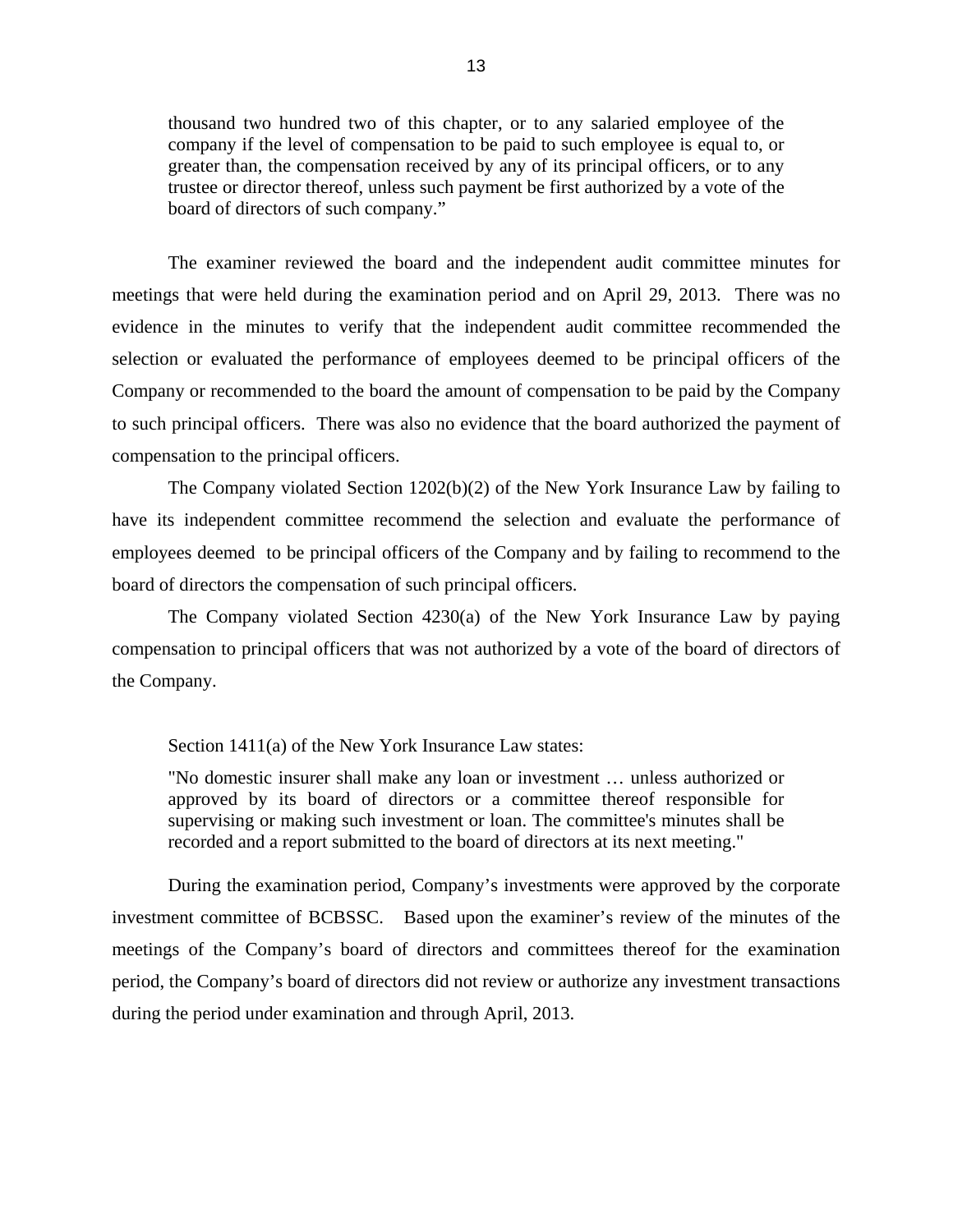thousand two hundred two of this chapter, or to any salaried employee of the company if the level of compensation to be paid to such employee is equal to, or greater than, the compensation received by any of its principal officers, or to any trustee or director thereof, unless such payment be first authorized by a vote of the board of directors of such company."

The examiner reviewed the board and the independent audit committee minutes for meetings that were held during the examination period and on April 29, 2013. There was no evidence in the minutes to verify that the independent audit committee recommended the selection or evaluated the performance of employees deemed to be principal officers of the Company or recommended to the board the amount of compensation to be paid by the Company to such principal officers. There was also no evidence that the board authorized the payment of compensation to the principal officers.

The Company violated Section 1202(b)(2) of the New York Insurance Law by failing to have its independent committee recommend the selection and evaluate the performance of employees deemed to be principal officers of the Company and by failing to recommend to the board of directors the compensation of such principal officers.

The Company violated Section 4230(a) of the New York Insurance Law by paying compensation to principal officers that was not authorized by a vote of the board of directors of the Company.

Section 1411(a) of the New York Insurance Law states:

"No domestic insurer shall make any loan or investment … unless authorized or approved by its board of directors or a committee thereof responsible for supervising or making such investment or loan. The committee's minutes shall be recorded and a report submitted to the board of directors at its next meeting."

During the examination period, Company's investments were approved by the corporate investment committee of BCBSSC. Based upon the examiner's review of the minutes of the meetings of the Company's board of directors and committees thereof for the examination period, the Company's board of directors did not review or authorize any investment transactions during the period under examination and through April, 2013.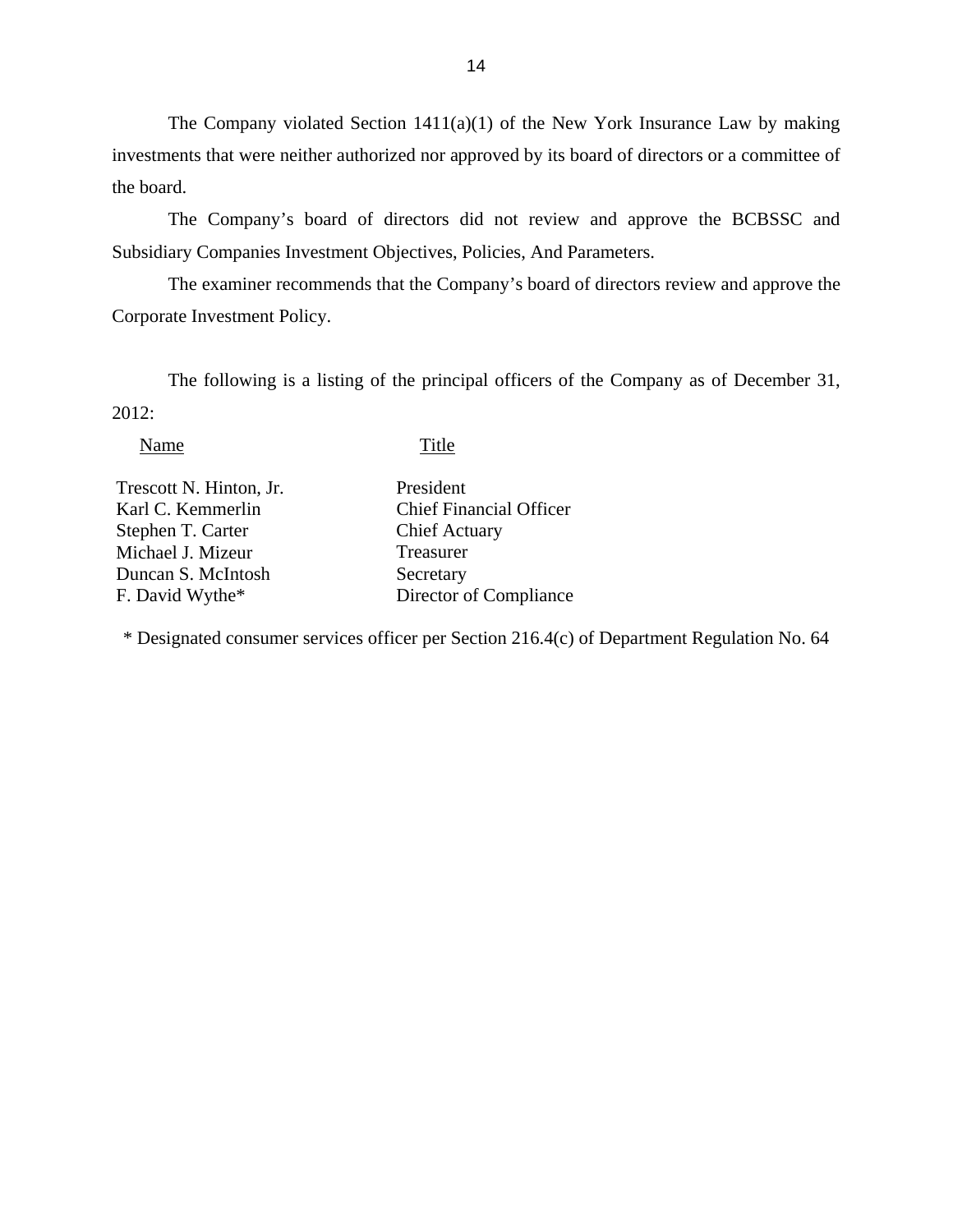The Company violated Section 1411(a)(1) of the New York Insurance Law by making investments that were neither authorized nor approved by its board of directors or a committee of the board.

The Company's board of directors did not review and approve the BCBSSC and Subsidiary Companies Investment Objectives, Policies, And Parameters.

The examiner recommends that the Company's board of directors review and approve the Corporate Investment Policy.

The following is a listing of the principal officers of the Company as of December 31, 2012:

Name Title

| Trescott N. Hinton, Jr. | President                      |
|-------------------------|--------------------------------|
| Karl C. Kemmerlin       | <b>Chief Financial Officer</b> |
| Stephen T. Carter       | <b>Chief Actuary</b>           |
| Michael J. Mizeur       | Treasurer                      |
| Duncan S. McIntosh      | Secretary                      |
| F. David Wythe*         | Director of Compliance         |
|                         |                                |

\* Designated consumer services officer per Section 216.4(c) of Department Regulation No. 64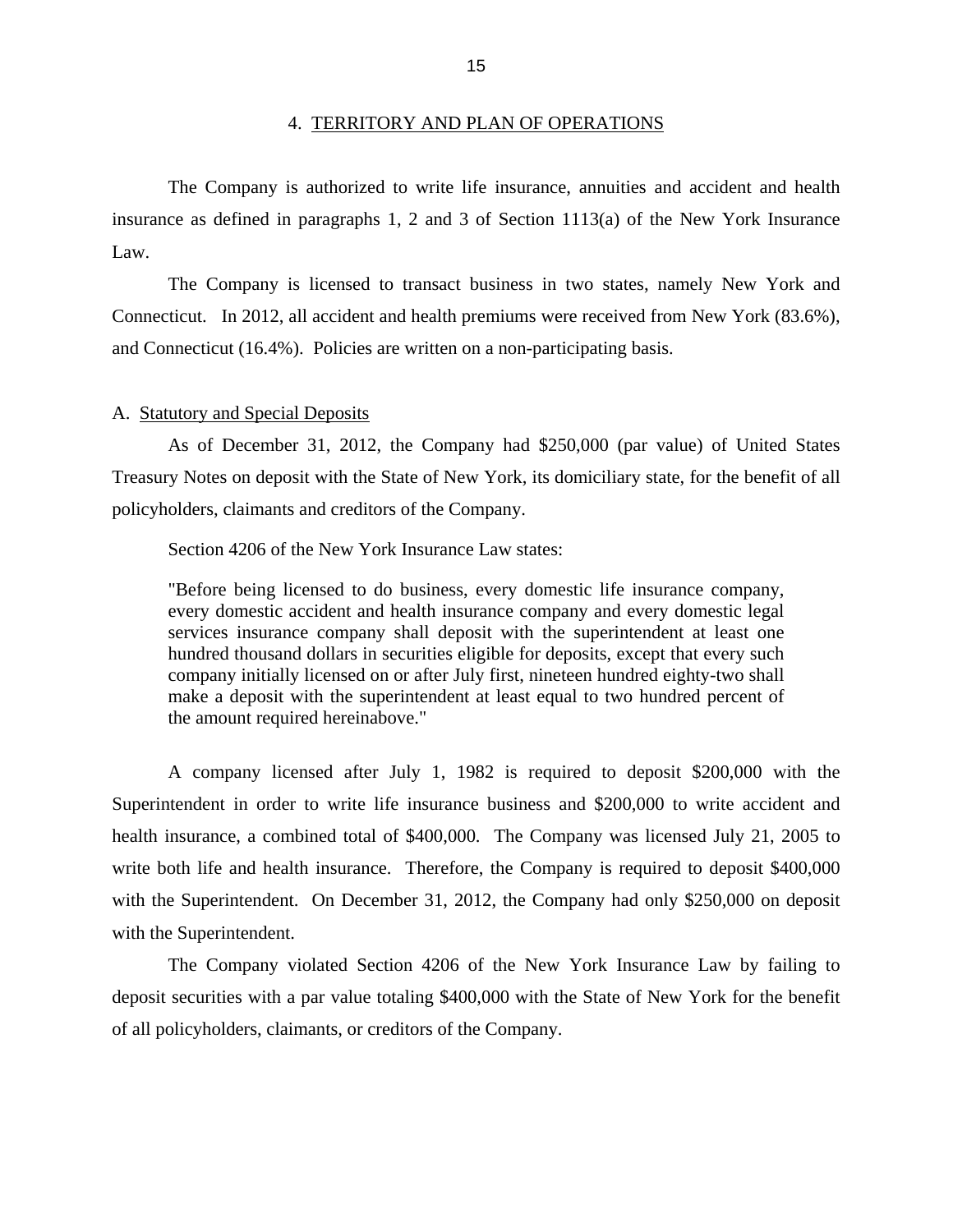<span id="page-17-0"></span>The Company is authorized to write life insurance, annuities and accident and health insurance as defined in paragraphs 1, 2 and 3 of Section 1113(a) of the New York Insurance Law.

and Connecticut (16.4%). Policies are written on a non-participating basis. The Company is licensed to transact business in two states, namely New York and Connecticut. In 2012, all accident and health premiums were received from New York (83.6%),

#### A. Statutory and Special Deposits

As of December 31, 2012, the Company had \$250,000 (par value) of United States Treasury Notes on deposit with the State of New York, its domiciliary state, for the benefit of all policyholders, claimants and creditors of the Company.

Section 4206 of the New York Insurance Law states:

"Before being licensed to do business, every domestic life insurance company, every domestic accident and health insurance company and every domestic legal services insurance company shall deposit with the superintendent at least one hundred thousand dollars in securities eligible for deposits, except that every such company initially licensed on or after July first, nineteen hundred eighty-two shall make a deposit with the superintendent at least equal to two hundred percent of the amount required hereinabove."

A company licensed after July 1, 1982 is required to deposit \$200,000 with the Superintendent in order to write life insurance business and \$200,000 to write accident and health insurance, a combined total of \$400,000. The Company was licensed July 21, 2005 to write both life and health insurance. Therefore, the Company is required to deposit \$400,000 with the Superintendent. On December 31, 2012, the Company had only \$250,000 on deposit with the Superintendent.

The Company violated Section 4206 of the New York Insurance Law by failing to deposit securities with a par value totaling \$400,000 with the State of New York for the benefit of all policyholders, claimants, or creditors of the Company.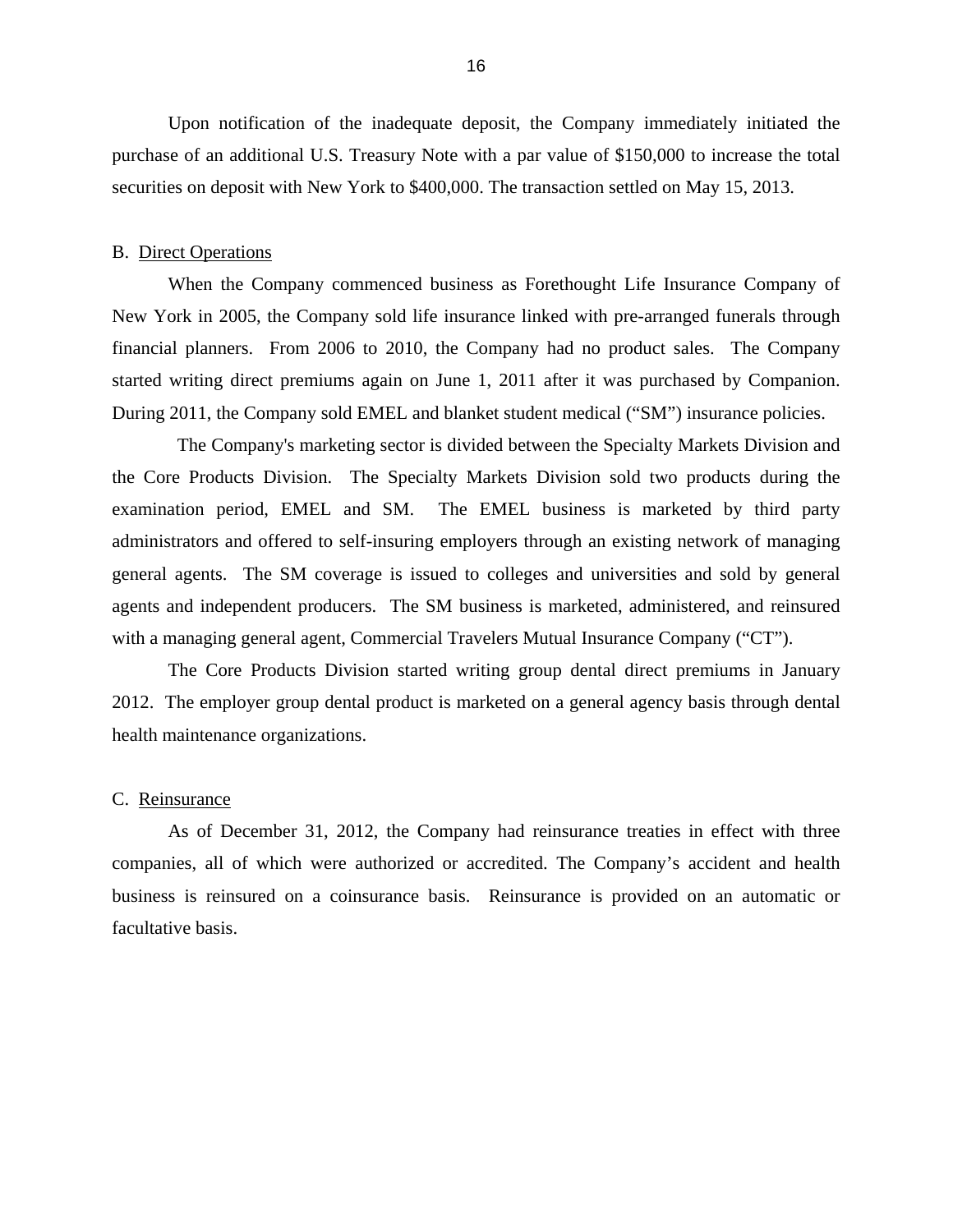<span id="page-18-0"></span>Upon notification of the inadequate deposit, the Company immediately initiated the purchase of an additional U.S. Treasury Note with a par value of \$150,000 to increase the total securities on deposit with New York to \$400,000. The transaction settled on May 15, 2013.

#### B. Direct Operations

When the Company commenced business as Forethought Life Insurance Company of New York in 2005, the Company sold life insurance linked with pre-arranged funerals through financial planners. From 2006 to 2010, the Company had no product sales. The Company started writing direct premiums again on June 1, 2011 after it was purchased by Companion. During 2011, the Company sold EMEL and blanket student medical ("SM") insurance policies.

The Company's marketing sector is divided between the Specialty Markets Division and the Core Products Division. The Specialty Markets Division sold two products during the examination period, EMEL and SM. The EMEL business is marketed by third party administrators and offered to self-insuring employers through an existing network of managing general agents. The SM coverage is issued to colleges and universities and sold by general agents and independent producers. The SM business is marketed, administered, and reinsured with a managing general agent, Commercial Travelers Mutual Insurance Company ("CT").

The Core Products Division started writing group dental direct premiums in January 2012. The employer group dental product is marketed on a general agency basis through dental health maintenance organizations.

#### C. Reinsurance

As of December 31, 2012, the Company had reinsurance treaties in effect with three companies, all of which were authorized or accredited. The Company's accident and health business is reinsured on a coinsurance basis. Reinsurance is provided on an automatic or facultative basis.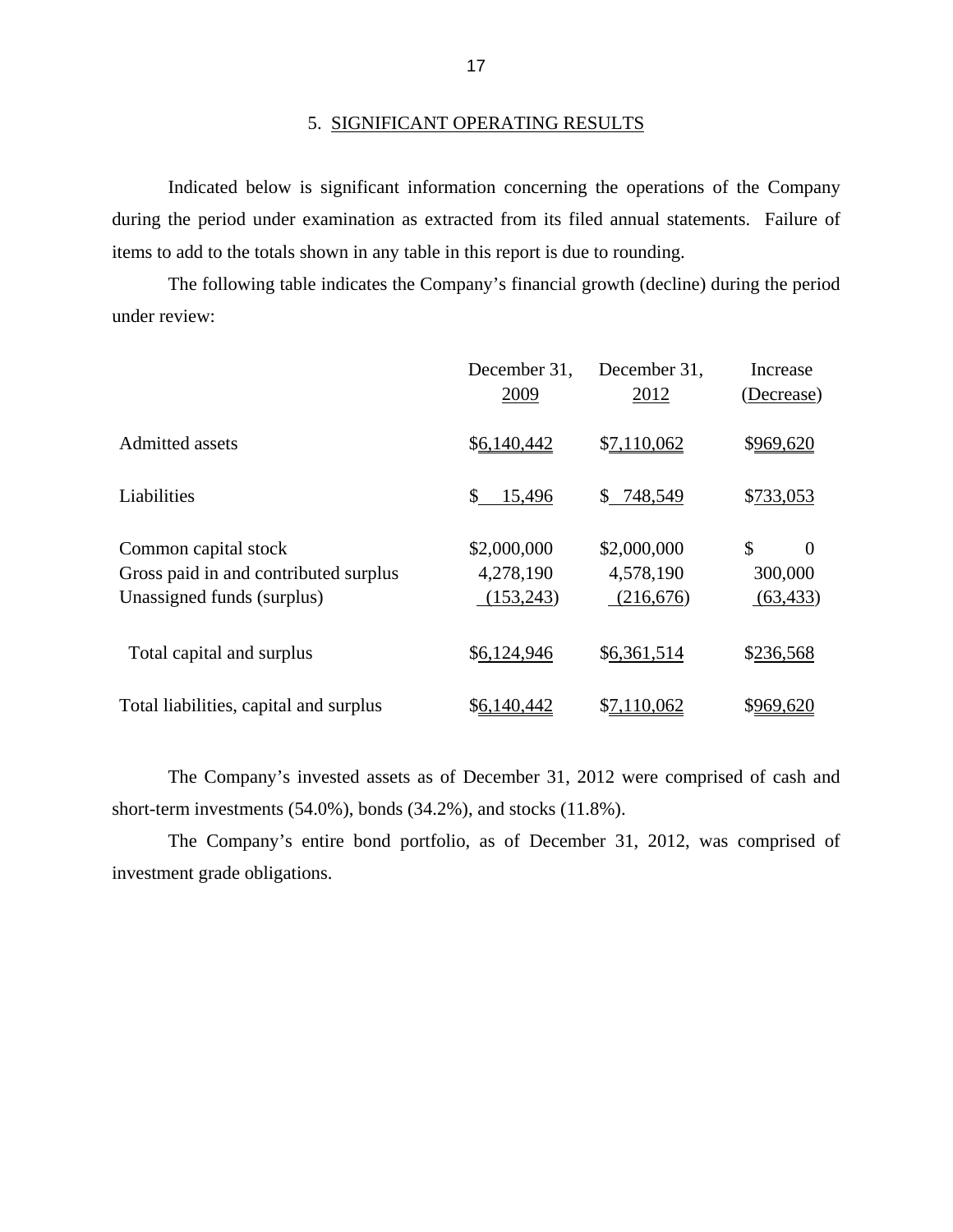#### 5. SIGNIFICANT OPERATING RESULTS

Indicated below is significant information concerning the operations of the Company during the period under examination as extracted from its filed annual statements. Failure of items to add to the totals shown in any table in this report is due to rounding.

The following table indicates the Company's financial growth (decline) during the period under review:

|                                                                                             | December 31,<br>2009                   | December 31,<br>2012                   | Increase<br>(Decrease)                 |
|---------------------------------------------------------------------------------------------|----------------------------------------|----------------------------------------|----------------------------------------|
| <b>Admitted assets</b>                                                                      | \$6,140,442                            | \$7,110,062                            | \$969,620                              |
| Liabilities                                                                                 | \$<br>15,496                           | \$748,549                              | \$733,053                              |
| Common capital stock<br>Gross paid in and contributed surplus<br>Unassigned funds (surplus) | \$2,000,000<br>4,278,190<br>(153, 243) | \$2,000,000<br>4,578,190<br>(216, 676) | \$<br>$\Omega$<br>300,000<br>(63, 433) |
| Total capital and surplus                                                                   | \$6,124,946                            | \$6,361,514                            | \$236,568                              |
| Total liabilities, capital and surplus                                                      | \$6,140,442                            | \$7,110,062                            | \$969,620                              |

The Company's invested assets as of December 31, 2012 were comprised of cash and short-term investments (54.0%), bonds (34.2%), and stocks (11.8%).

The Company's entire bond portfolio, as of December 31, 2012, was comprised of investment grade obligations.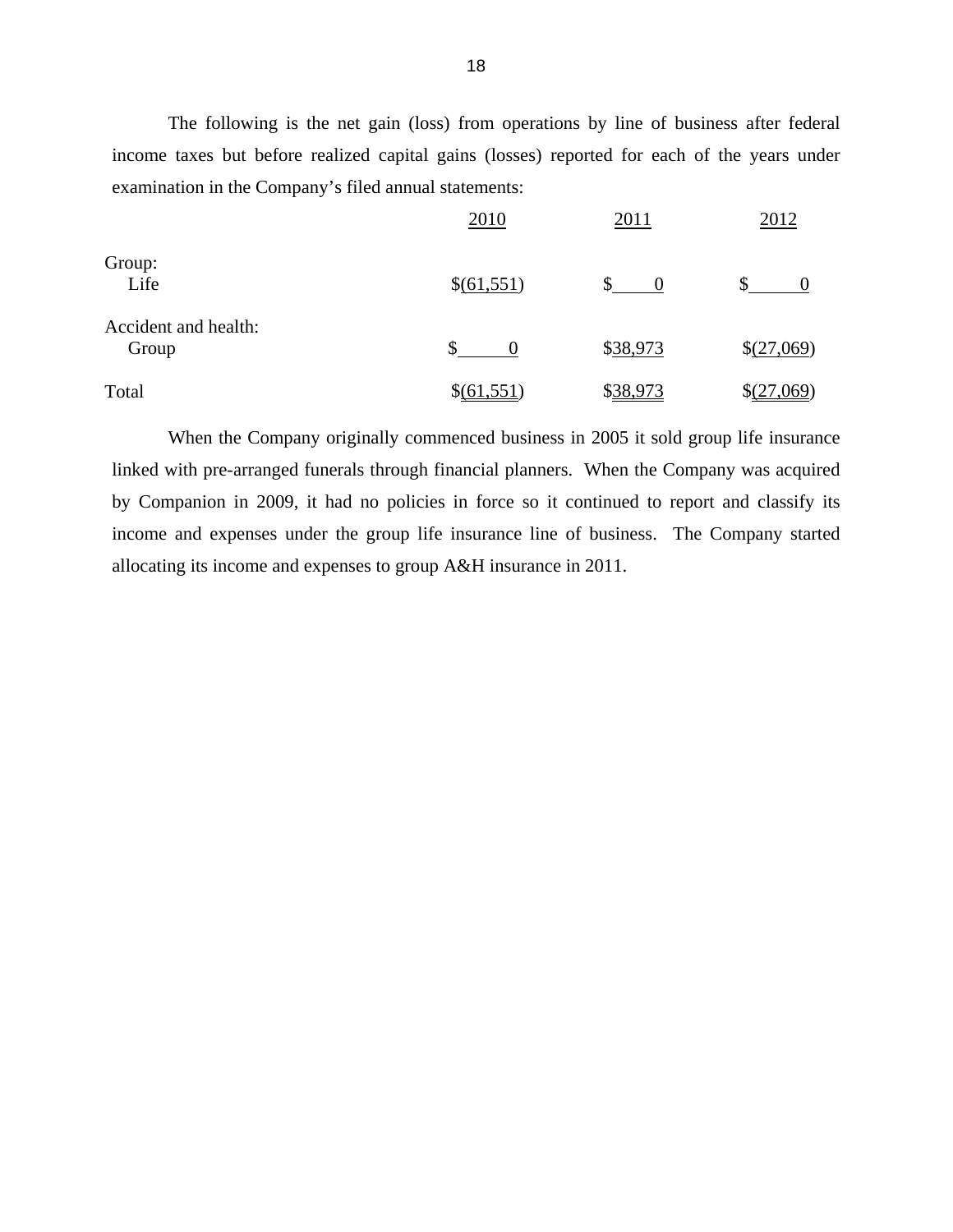The following is the net gain (loss) from operations by line of business after federal income taxes but before realized capital gains (losses) reported for each of the years under examination in the Company's filed annual statements:

|                               | 2010       | 2011     | 2012       |
|-------------------------------|------------|----------|------------|
| Group:<br>Life                | \$(61,551) | S        |            |
| Accident and health:<br>Group | \$         | \$38,973 | \$(27,069) |
| Total                         | \$(61,551) | \$38,973 | \$(27,069) |

When the Company originally commenced business in 2005 it sold group life insurance linked with pre-arranged funerals through financial planners. When the Company was acquired by Companion in 2009, it had no policies in force so it continued to report and classify its income and expenses under the group life insurance line of business. The Company started allocating its income and expenses to group A&H insurance in 2011.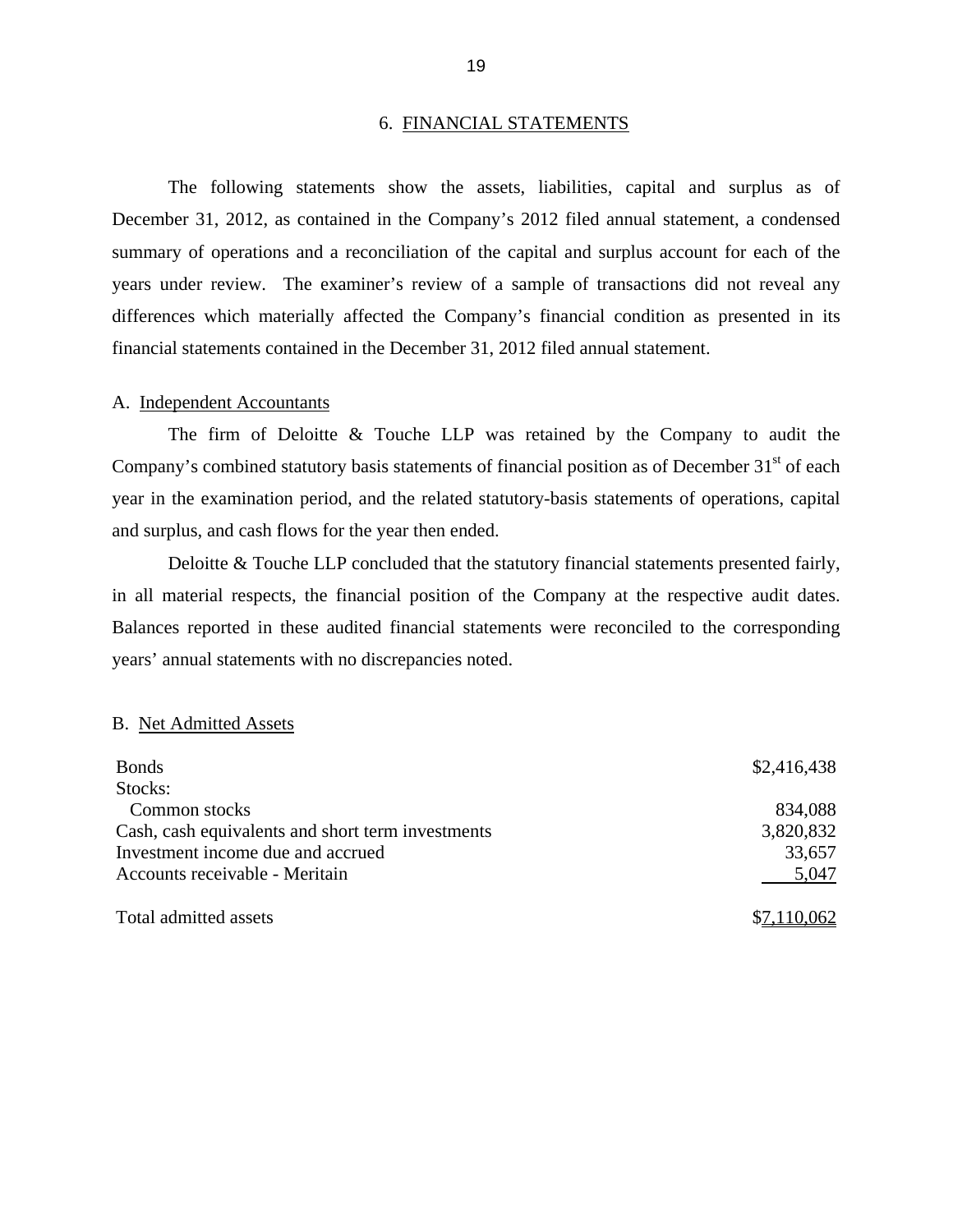#### 6. FINANCIAL STATEMENTS

The following statements show the assets, liabilities, capital and surplus as of December 31, 2012, as contained in the Company's 2012 filed annual statement, a condensed summary of operations and a reconciliation of the capital and surplus account for each of the years under review. The examiner's review of a sample of transactions did not reveal any differences which materially affected the Company's financial condition as presented in its financial statements contained in the December 31, 2012 filed annual statement.

#### A. Independent Accountants

The firm of Deloitte & Touche LLP was retained by the Company to audit the Company's combined statutory basis statements of financial position as of December  $31<sup>st</sup>$  of each year in the examination period, and the related statutory-basis statements of operations, capital and surplus, and cash flows for the year then ended.

in all material respects, the financial position of the Company at the respective audit dates. Deloitte & Touche LLP concluded that the statutory financial statements presented fairly, Balances reported in these audited financial statements were reconciled to the corresponding years' annual statements with no discrepancies noted.

#### B. Net Admitted Assets

| <b>Bonds</b>                                      | \$2,416,438 |
|---------------------------------------------------|-------------|
| Stocks:                                           |             |
| Common stocks                                     | 834,088     |
| Cash, cash equivalents and short term investments | 3,820,832   |
| Investment income due and accrued                 | 33,657      |
| Accounts receivable - Meritain                    | 5,047       |
| Total admitted assets                             | \$7,110,062 |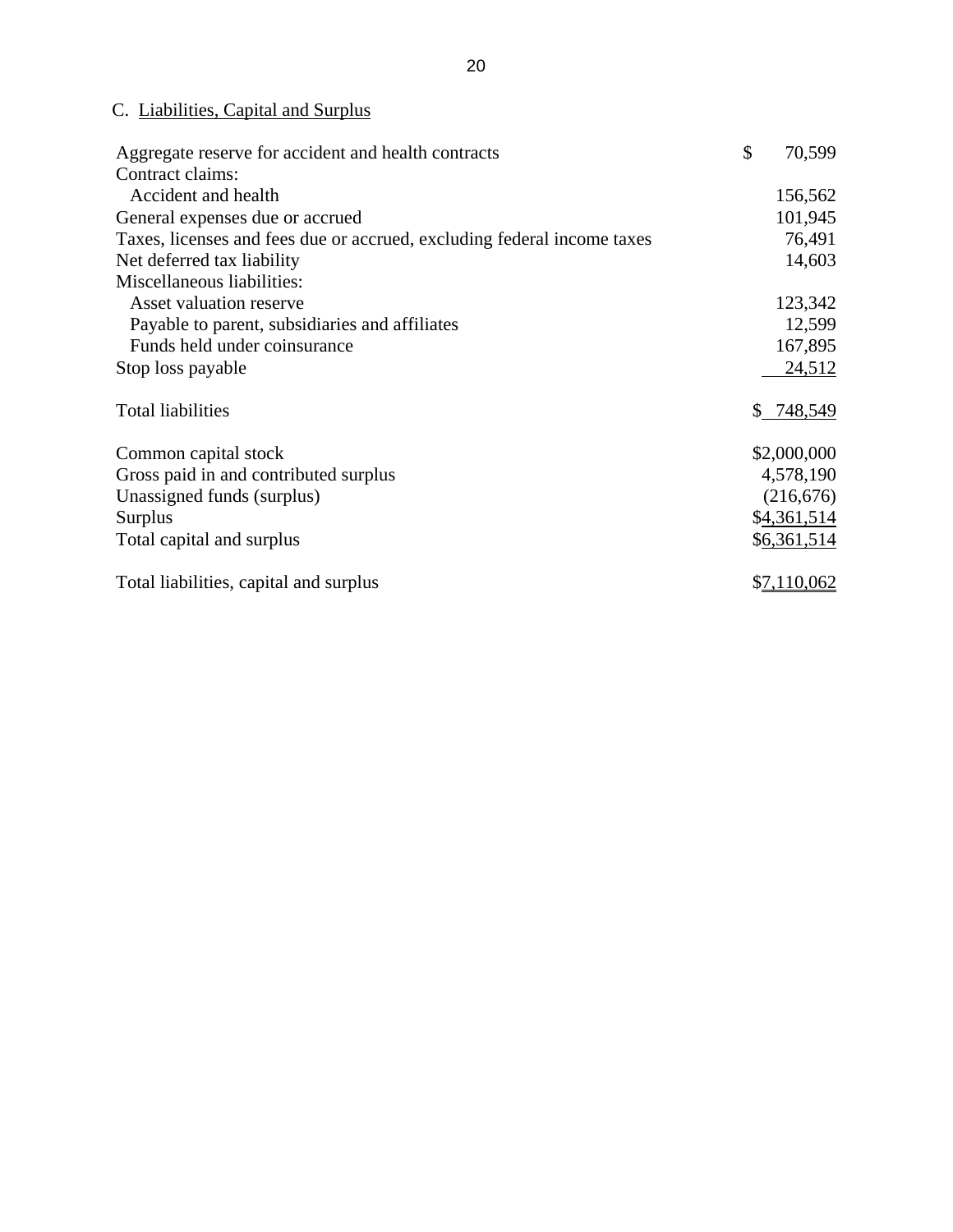## C. Liabilities, Capital and Surplus

| Aggregate reserve for accident and health contracts                     | \$<br>70,599       |
|-------------------------------------------------------------------------|--------------------|
| Contract claims:                                                        |                    |
| Accident and health                                                     | 156,562            |
| General expenses due or accrued                                         | 101,945            |
| Taxes, licenses and fees due or accrued, excluding federal income taxes | 76,491             |
| Net deferred tax liability                                              | 14,603             |
| Miscellaneous liabilities:                                              |                    |
| Asset valuation reserve                                                 | 123,342            |
| Payable to parent, subsidiaries and affiliates                          | 12,599             |
| Funds held under coinsurance                                            | 167,895            |
| Stop loss payable                                                       | 24,512             |
| <b>Total liabilities</b>                                                | \$<br>748,549      |
| Common capital stock                                                    | \$2,000,000        |
| Gross paid in and contributed surplus                                   | 4,578,190          |
| Unassigned funds (surplus)                                              | (216, 676)         |
| <b>Surplus</b>                                                          | \$4,361,514        |
| Total capital and surplus                                               | \$6,361,514        |
| Total liabilities, capital and surplus                                  | <u>\$7,110,062</u> |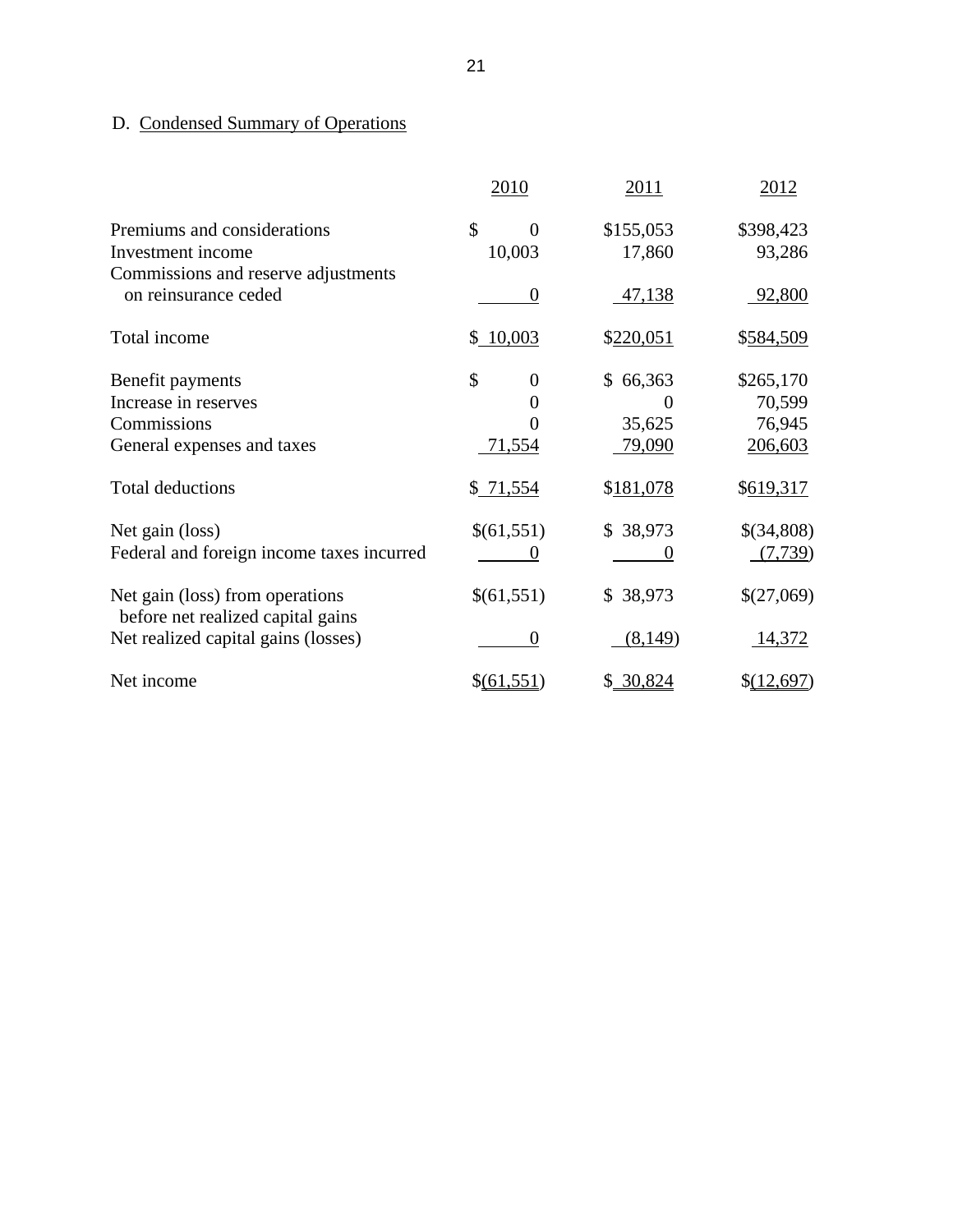## D. Condensed Summary of Operations

|                                                                                       | 2010                               | 2011                                            | 2012                                     |
|---------------------------------------------------------------------------------------|------------------------------------|-------------------------------------------------|------------------------------------------|
| Premiums and considerations<br>Investment income                                      | \$<br>$\Omega$<br>10,003           | \$155,053<br>17,860                             | \$398,423<br>93,286                      |
| Commissions and reserve adjustments<br>on reinsurance ceded                           | $\Omega$                           | 47,138                                          | 92,800                                   |
| Total income                                                                          | \$10,003                           | \$220,051                                       | \$584,509                                |
| Benefit payments<br>Increase in reserves<br>Commissions<br>General expenses and taxes | \$<br>$\theta$<br>0<br>0<br>71,554 | 66,363<br>$\mathbb{S}$<br>0<br>35,625<br>79,090 | \$265,170<br>70,599<br>76,945<br>206,603 |
| <b>Total deductions</b>                                                               | \$ 71,554                          | \$181,078                                       | \$619,317                                |
| Net gain (loss)<br>Federal and foreign income taxes incurred                          | \$(61,551)                         | \$38,973                                        | \$(34,808)<br>(7, 739)                   |
| Net gain (loss) from operations<br>before net realized capital gains                  | \$(61,551)                         | \$38,973                                        | \$(27,069)                               |
| Net realized capital gains (losses)                                                   | $\Omega$                           | (8,149)                                         | 14,372                                   |
| Net income                                                                            | \$(61,551)                         | \$30,824                                        | \$(12,697)                               |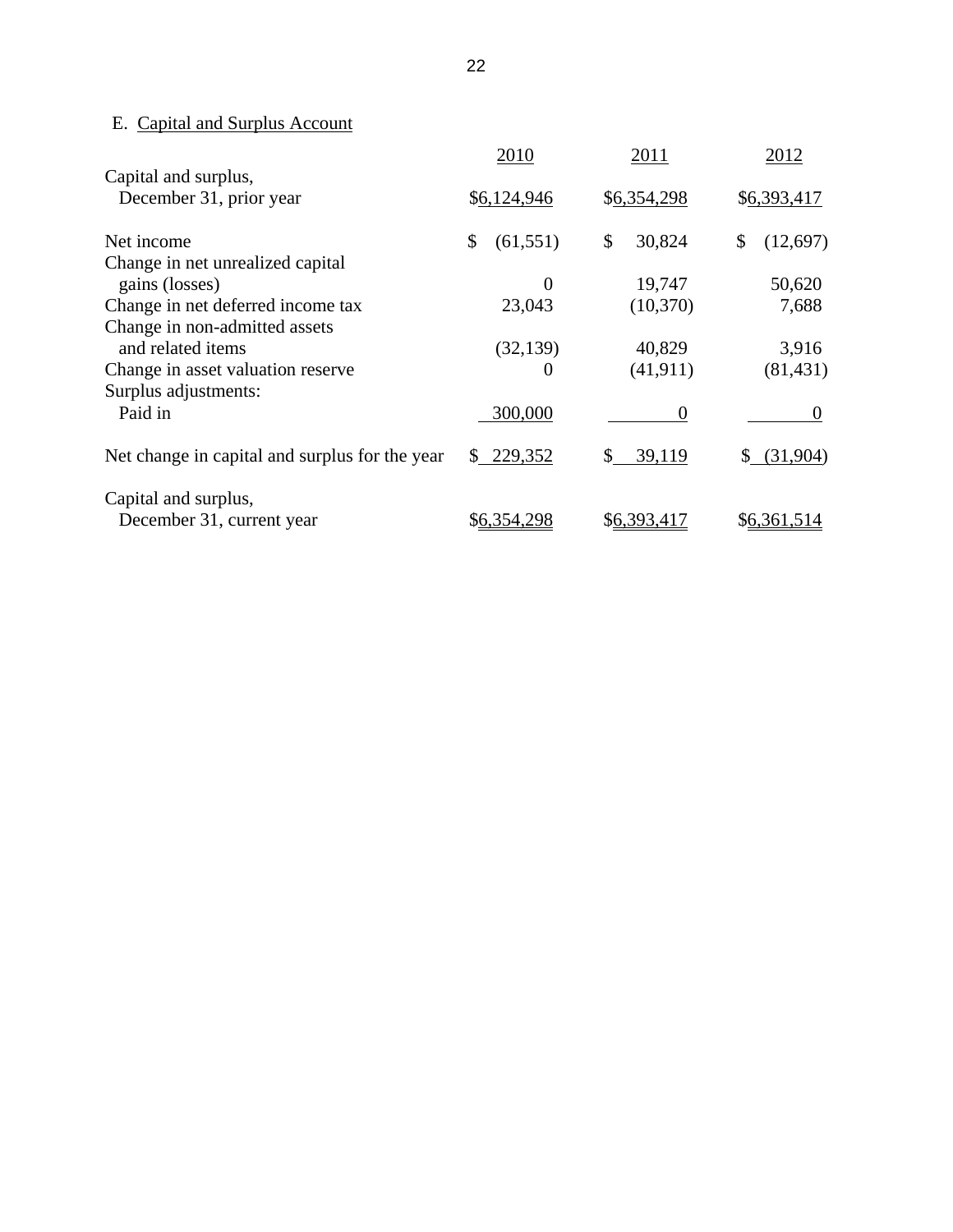## E. Capital and Surplus Account

|                                                    | 2010            | 2011         | 2012           |
|----------------------------------------------------|-----------------|--------------|----------------|
| Capital and surplus,<br>December 31, prior year    | \$6,124,946     | \$6,354,298  | \$6,393,417    |
| Net income                                         | \$<br>(61, 551) | \$<br>30,824 | \$<br>(12,697) |
| Change in net unrealized capital<br>gains (losses) | $\Omega$        | 19,747       | 50,620         |
| Change in net deferred income tax                  | 23,043          | (10,370)     | 7,688          |
| Change in non-admitted assets<br>and related items | (32, 139)       | 40,829       | 3,916          |
| Change in asset valuation reserve                  | $\theta$        | (41, 911)    | (81, 431)      |
| Surplus adjustments:<br>Paid in                    | 300,000         | $\theta$     |                |
| Net change in capital and surplus for the year     | \$229,352       | \$<br>39,119 | (31,904)       |
| Capital and surplus,<br>December 31, current year  | \$6,354,298     | \$6,393,417  | \$6,361,514    |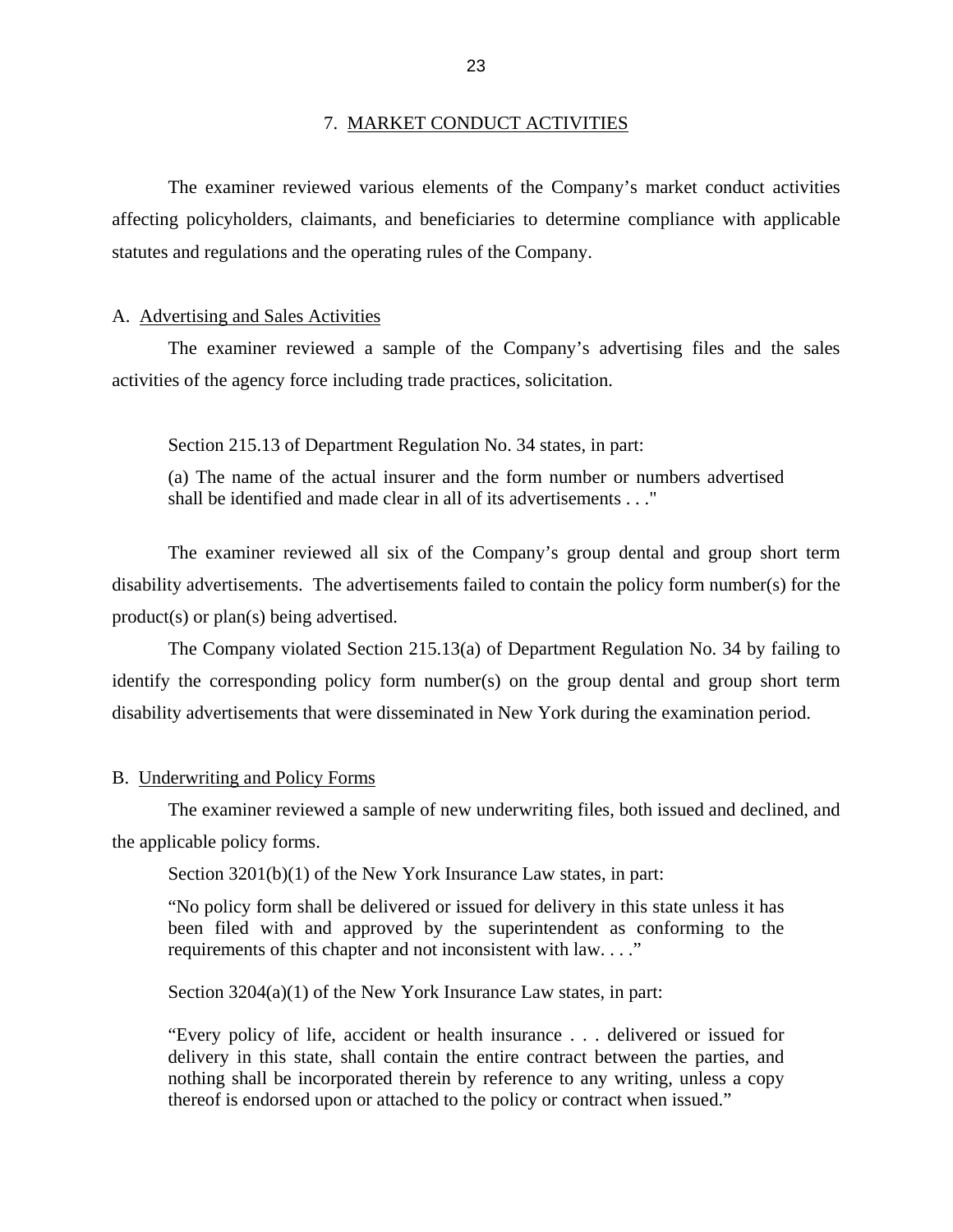#### 7. MARKET CONDUCT ACTIVITIES

<span id="page-25-0"></span>The examiner reviewed various elements of the Company's market conduct activities affecting policyholders, claimants, and beneficiaries to determine compliance with applicable statutes and regulations and the operating rules of the Company.

#### A. Advertising and Sales Activities

The examiner reviewed a sample of the Company's advertising files and the sales activities of the agency force including trade practices, solicitation.

Section 215.13 of Department Regulation No. 34 states, in part:

(a) The name of the actual insurer and the form number or numbers advertised shall be identified and made clear in all of its advertisements . . ."

The examiner reviewed all six of the Company's group dental and group short term disability advertisements. The advertisements failed to contain the policy form number(s) for the product(s) or plan(s) being advertised.

The Company violated Section 215.13(a) of Department Regulation No. 34 by failing to identify the corresponding policy form number(s) on the group dental and group short term disability advertisements that were disseminated in New York during the examination period.

#### B. Underwriting and Policy Forms

The examiner reviewed a sample of new underwriting files, both issued and declined, and the applicable policy forms.

Section 3201(b)(1) of the New York Insurance Law states, in part:

"No policy form shall be delivered or issued for delivery in this state unless it has been filed with and approved by the superintendent as conforming to the requirements of this chapter and not inconsistent with law. . . ."

Section 3204(a)(1) of the New York Insurance Law states, in part:

"Every policy of life, accident or health insurance . . . delivered or issued for delivery in this state, shall contain the entire contract between the parties, and nothing shall be incorporated therein by reference to any writing, unless a copy thereof is endorsed upon or attached to the policy or contract when issued."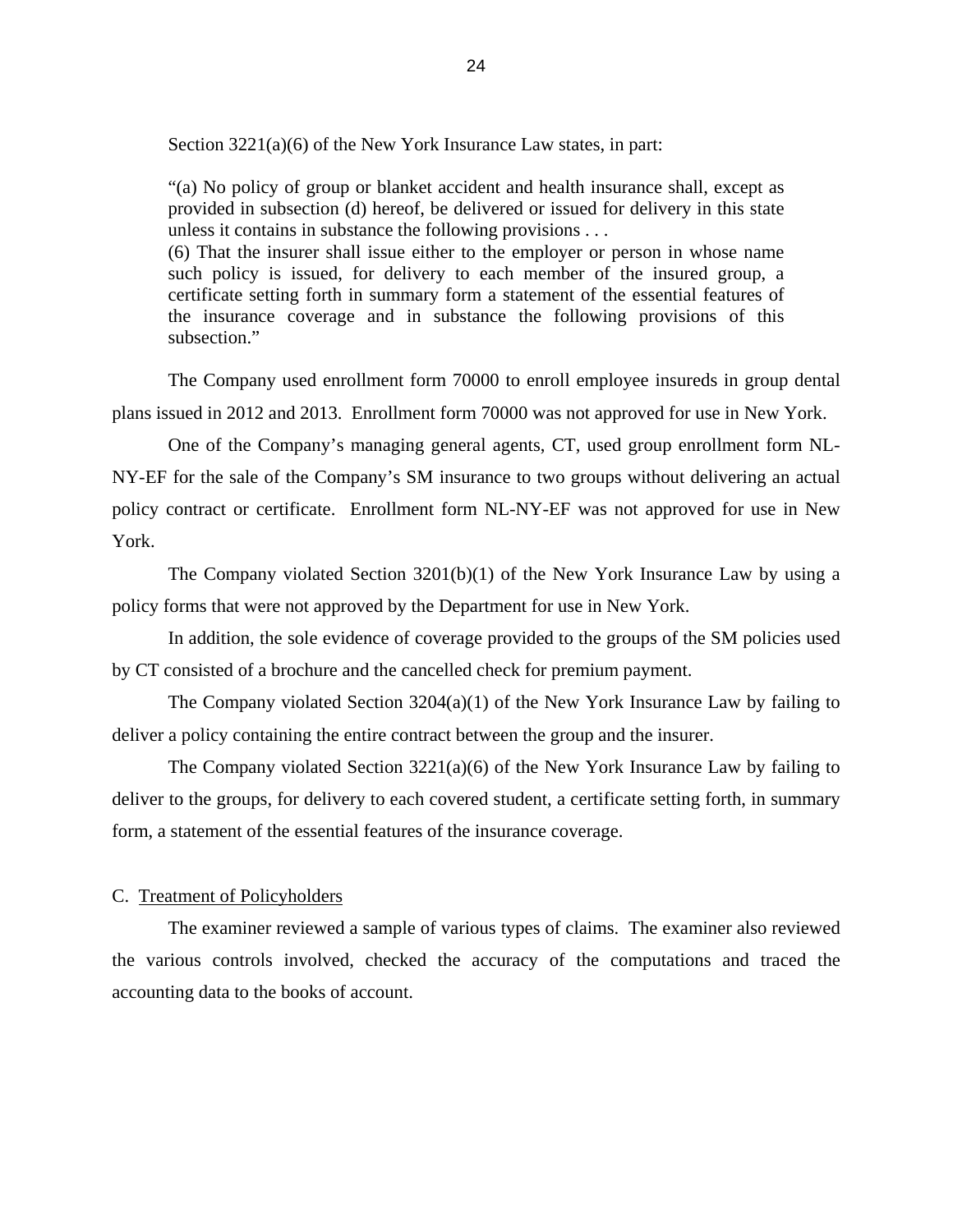<span id="page-26-0"></span>Section 3221(a)(6) of the New York Insurance Law states, in part:

"(a) No policy of group or blanket accident and health insurance shall, except as provided in subsection (d) hereof, be delivered or issued for delivery in this state unless it contains in substance the following provisions . . .

(6) That the insurer shall issue either to the employer or person in whose name such policy is issued, for delivery to each member of the insured group, a certificate setting forth in summary form a statement of the essential features of the insurance coverage and in substance the following provisions of this subsection."

The Company used enrollment form 70000 to enroll employee insureds in group dental plans issued in 2012 and 2013. Enrollment form 70000 was not approved for use in New York.

One of the Company's managing general agents, CT, used group enrollment form NL-NY-EF for the sale of the Company's SM insurance to two groups without delivering an actual policy contract or certificate. Enrollment form NL-NY-EF was not approved for use in New York.

The Company violated Section  $3201(b)(1)$  of the New York Insurance Law by using a policy forms that were not approved by the Department for use in New York.

In addition, the sole evidence of coverage provided to the groups of the SM policies used by CT consisted of a brochure and the cancelled check for premium payment.

The Company violated Section 3204(a)(1) of the New York Insurance Law by failing to deliver a policy containing the entire contract between the group and the insurer.

The Company violated Section 3221(a)(6) of the New York Insurance Law by failing to deliver to the groups, for delivery to each covered student, a certificate setting forth, in summary form, a statement of the essential features of the insurance coverage.

#### C. Treatment of Policyholders

The examiner reviewed a sample of various types of claims. The examiner also reviewed the various controls involved, checked the accuracy of the computations and traced the accounting data to the books of account.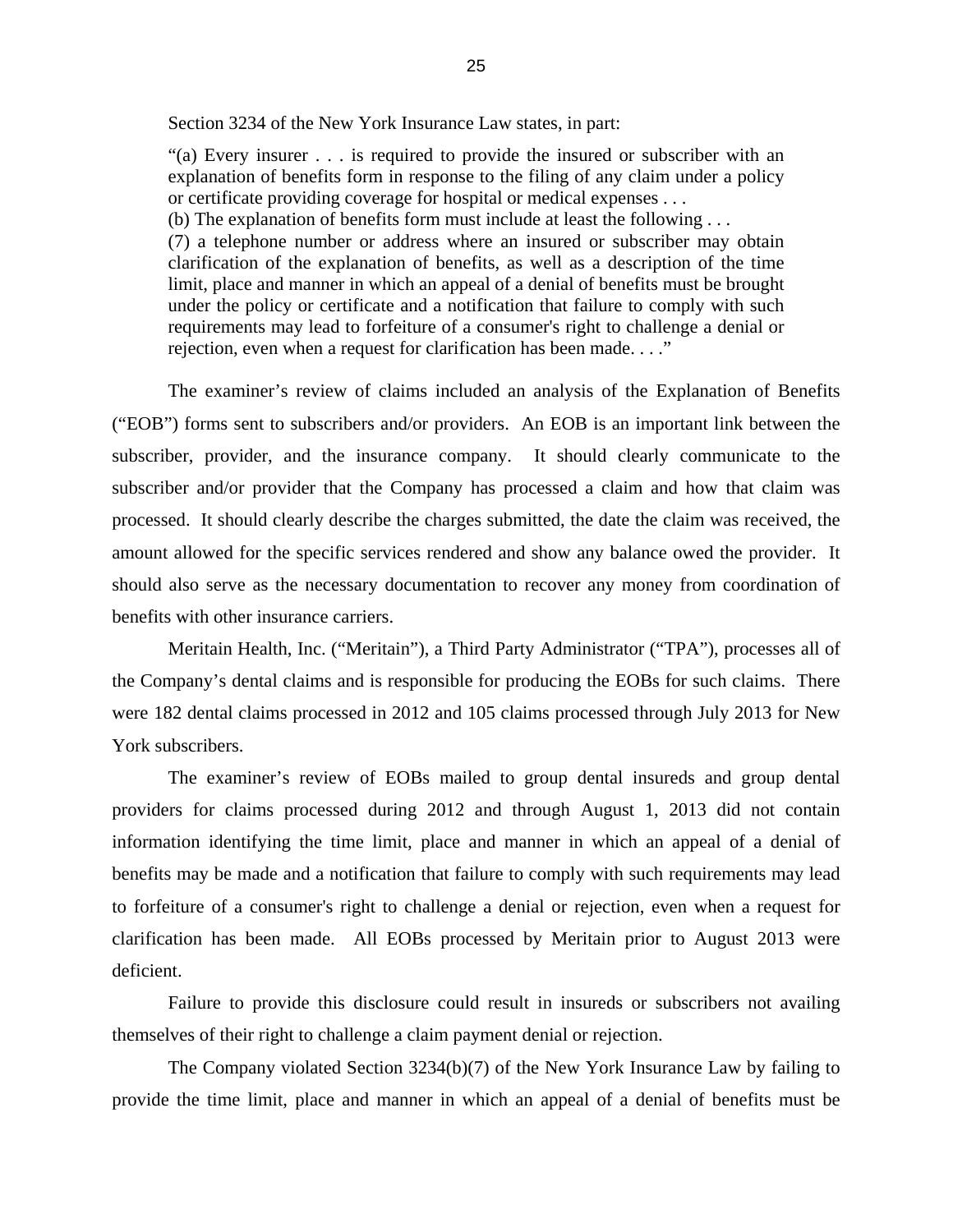Section 3234 of the New York Insurance Law states, in part:

"(a) Every insurer . . . is required to provide the insured or subscriber with an explanation of benefits form in response to the filing of any claim under a policy or certificate providing coverage for hospital or medical expenses . . .

(b) The explanation of benefits form must include at least the following . . .

(7) a telephone number or address where an insured or subscriber may obtain clarification of the explanation of benefits, as well as a description of the time limit, place and manner in which an appeal of a denial of benefits must be brought under the policy or certificate and a notification that failure to comply with such requirements may lead to forfeiture of a consumer's right to challenge a denial or rejection, even when a request for clarification has been made. . . ."

The examiner's review of claims included an analysis of the Explanation of Benefits ("EOB") forms sent to subscribers and/or providers. An EOB is an important link between the subscriber, provider, and the insurance company. It should clearly communicate to the subscriber and/or provider that the Company has processed a claim and how that claim was processed. It should clearly describe the charges submitted, the date the claim was received, the amount allowed for the specific services rendered and show any balance owed the provider. It should also serve as the necessary documentation to recover any money from coordination of benefits with other insurance carriers.

Meritain Health, Inc. ("Meritain"), a Third Party Administrator ("TPA"), processes all of the Company's dental claims and is responsible for producing the EOBs for such claims. There were 182 dental claims processed in 2012 and 105 claims processed through July 2013 for New York subscribers.

The examiner's review of EOBs mailed to group dental insureds and group dental providers for claims processed during 2012 and through August 1, 2013 did not contain information identifying the time limit, place and manner in which an appeal of a denial of benefits may be made and a notification that failure to comply with such requirements may lead to forfeiture of a consumer's right to challenge a denial or rejection, even when a request for clarification has been made. All EOBs processed by Meritain prior to August 2013 were deficient.

Failure to provide this disclosure could result in insureds or subscribers not availing themselves of their right to challenge a claim payment denial or rejection.

The Company violated Section 3234(b)(7) of the New York Insurance Law by failing to provide the time limit, place and manner in which an appeal of a denial of benefits must be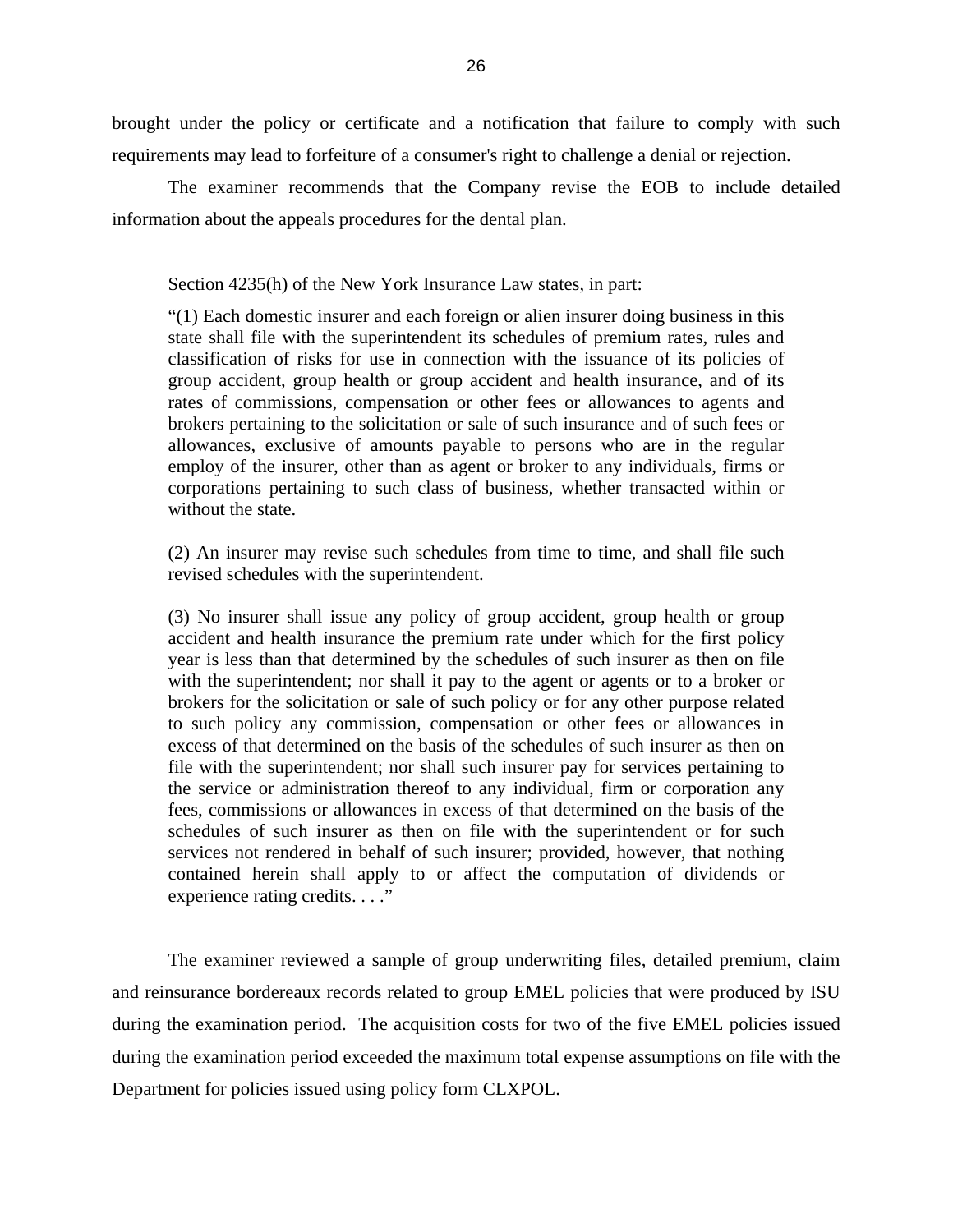brought under the policy or certificate and a notification that failure to comply with such requirements may lead to forfeiture of a consumer's right to challenge a denial or rejection.

The examiner recommends that the Company revise the EOB to include detailed information about the appeals procedures for the dental plan.

Section 4235(h) of the New York Insurance Law states, in part:

"(1) Each domestic insurer and each foreign or alien insurer doing business in this state shall file with the superintendent its schedules of premium rates, rules and classification of risks for use in connection with the issuance of its policies of group accident, group health or group accident and health insurance, and of its rates of commissions, compensation or other fees or allowances to agents and brokers pertaining to the solicitation or sale of such insurance and of such fees or allowances, exclusive of amounts payable to persons who are in the regular employ of the insurer, other than as agent or broker to any individuals, firms or corporations pertaining to such class of business, whether transacted within or without the state.

(2) An insurer may revise such schedules from time to time, and shall file such revised schedules with the superintendent.

(3) No insurer shall issue any policy of group accident, group health or group accident and health insurance the premium rate under which for the first policy year is less than that determined by the schedules of such insurer as then on file with the superintendent; nor shall it pay to the agent or agents or to a broker or brokers for the solicitation or sale of such policy or for any other purpose related to such policy any commission, compensation or other fees or allowances in excess of that determined on the basis of the schedules of such insurer as then on file with the superintendent; nor shall such insurer pay for services pertaining to the service or administration thereof to any individual, firm or corporation any fees, commissions or allowances in excess of that determined on the basis of the schedules of such insurer as then on file with the superintendent or for such services not rendered in behalf of such insurer; provided, however, that nothing contained herein shall apply to or affect the computation of dividends or experience rating credits. . . ."

The examiner reviewed a sample of group underwriting files, detailed premium, claim and reinsurance bordereaux records related to group EMEL policies that were produced by ISU during the examination period. The acquisition costs for two of the five EMEL policies issued during the examination period exceeded the maximum total expense assumptions on file with the Department for policies issued using policy form CLXPOL.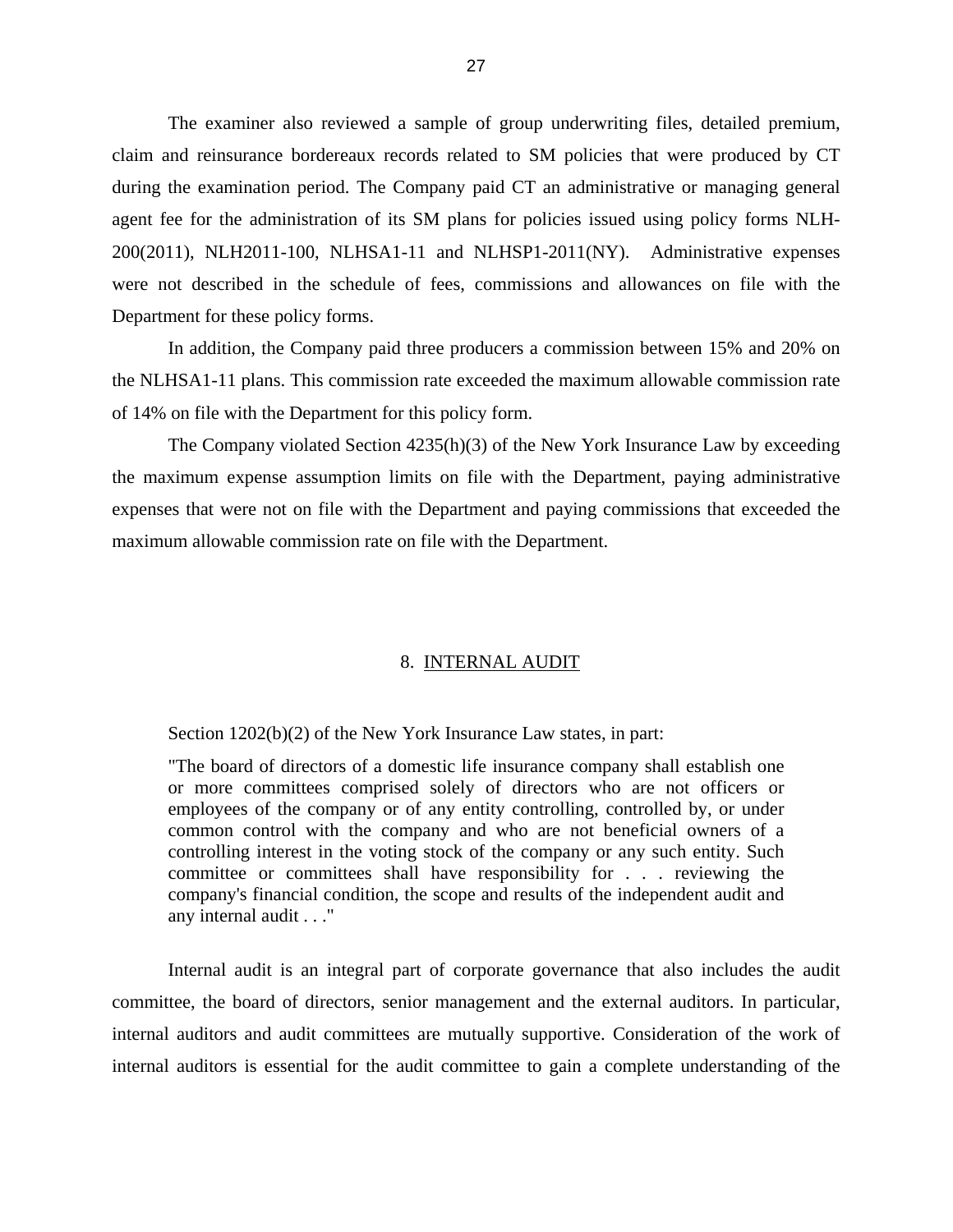<span id="page-29-0"></span>The examiner also reviewed a sample of group underwriting files, detailed premium, claim and reinsurance bordereaux records related to SM policies that were produced by CT during the examination period. The Company paid CT an administrative or managing general agent fee for the administration of its SM plans for policies issued using policy forms NLH-200(2011), NLH2011-100, NLHSA1-11 and NLHSP1-2011(NY). Administrative expenses were not described in the schedule of fees, commissions and allowances on file with the Department for these policy forms.

In addition, the Company paid three producers a commission between 15% and 20% on the NLHSA1-11 plans. This commission rate exceeded the maximum allowable commission rate of 14% on file with the Department for this policy form.

The Company violated Section 4235(h)(3) of the New York Insurance Law by exceeding the maximum expense assumption limits on file with the Department, paying administrative expenses that were not on file with the Department and paying commissions that exceeded the maximum allowable commission rate on file with the Department.

#### 8. INTERNAL AUDIT

Section 1202(b)(2) of the New York Insurance Law states, in part:

"The board of directors of a domestic life insurance company shall establish one or more committees comprised solely of directors who are not officers or employees of the company or of any entity controlling, controlled by, or under common control with the company and who are not beneficial owners of a controlling interest in the voting stock of the company or any such entity. Such committee or committees shall have responsibility for . . . reviewing the company's financial condition, the scope and results of the independent audit and any internal audit . . ."

Internal audit is an integral part of corporate governance that also includes the audit committee, the board of directors, senior management and the external auditors. In particular, internal auditors and audit committees are mutually supportive. Consideration of the work of internal auditors is essential for the audit committee to gain a complete understanding of the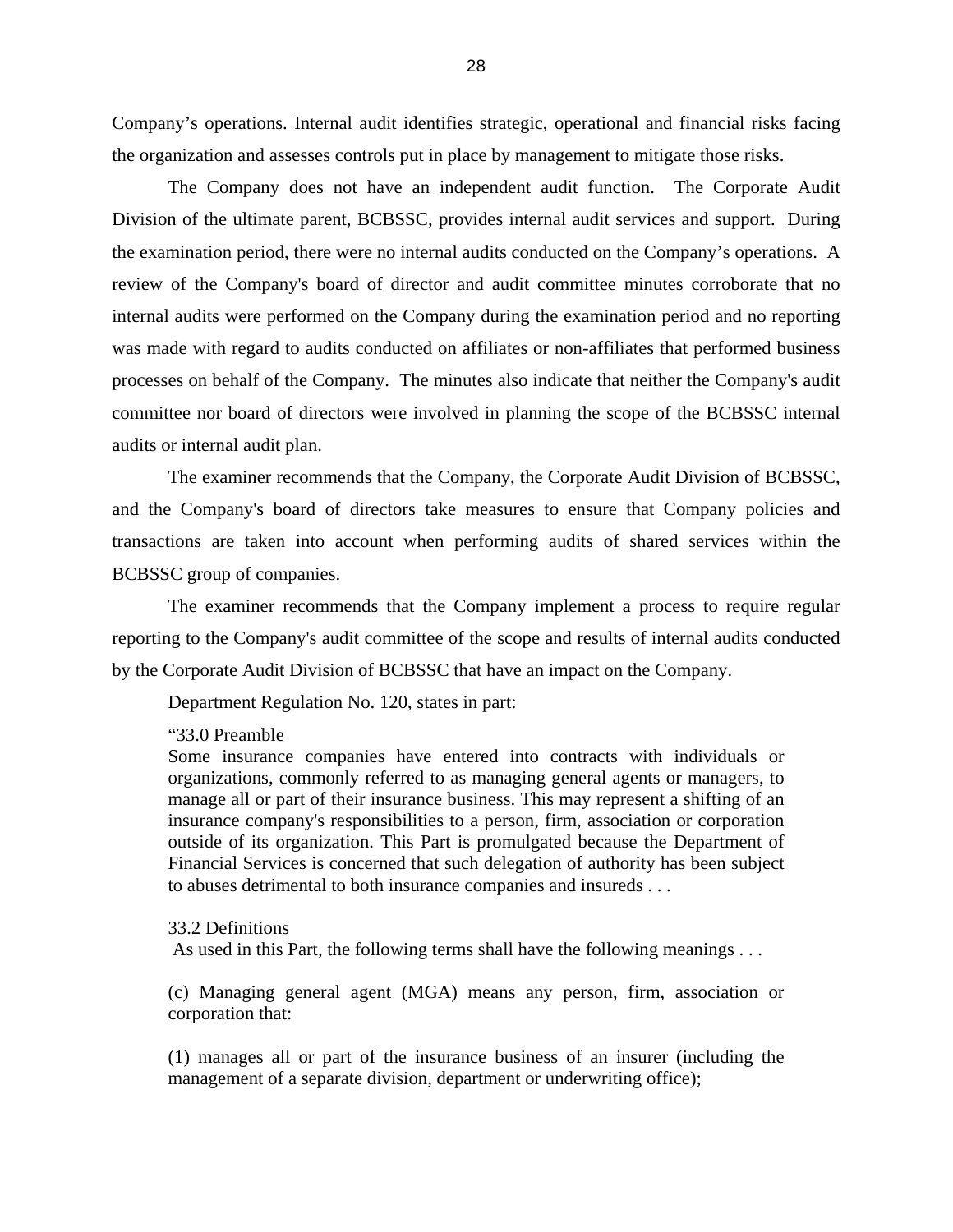Company's operations. Internal audit identifies strategic, operational and financial risks facing the organization and assesses controls put in place by management to mitigate those risks.

The Company does not have an independent audit function. The Corporate Audit Division of the ultimate parent, BCBSSC, provides internal audit services and support. During the examination period, there were no internal audits conducted on the Company's operations. A review of the Company's board of director and audit committee minutes corroborate that no internal audits were performed on the Company during the examination period and no reporting was made with regard to audits conducted on affiliates or non-affiliates that performed business processes on behalf of the Company. The minutes also indicate that neither the Company's audit committee nor board of directors were involved in planning the scope of the BCBSSC internal audits or internal audit plan.

The examiner recommends that the Company, the Corporate Audit Division of BCBSSC, and the Company's board of directors take measures to ensure that Company policies and transactions are taken into account when performing audits of shared services within the BCBSSC group of companies.

The examiner recommends that the Company implement a process to require regular reporting to the Company's audit committee of the scope and results of internal audits conducted by the Corporate Audit Division of BCBSSC that have an impact on the Company.

Department Regulation No. 120, states in part:

#### "33.0 Preamble

Some insurance companies have entered into contracts with individuals or organizations, commonly referred to as managing general agents or managers, to manage all or part of their insurance business. This may represent a shifting of an insurance company's responsibilities to a person, firm, association or corporation outside of its organization. This Part is promulgated because the Department of Financial Services is concerned that such delegation of authority has been subject to abuses detrimental to both insurance companies and insureds . . .

#### 33.2 Definitions

As used in this Part, the following terms shall have the following meanings . . .

(c) Managing general agent (MGA) means any person, firm, association or corporation that:

(1) manages all or part of the insurance business of an insurer (including the management of a separate division, department or underwriting office);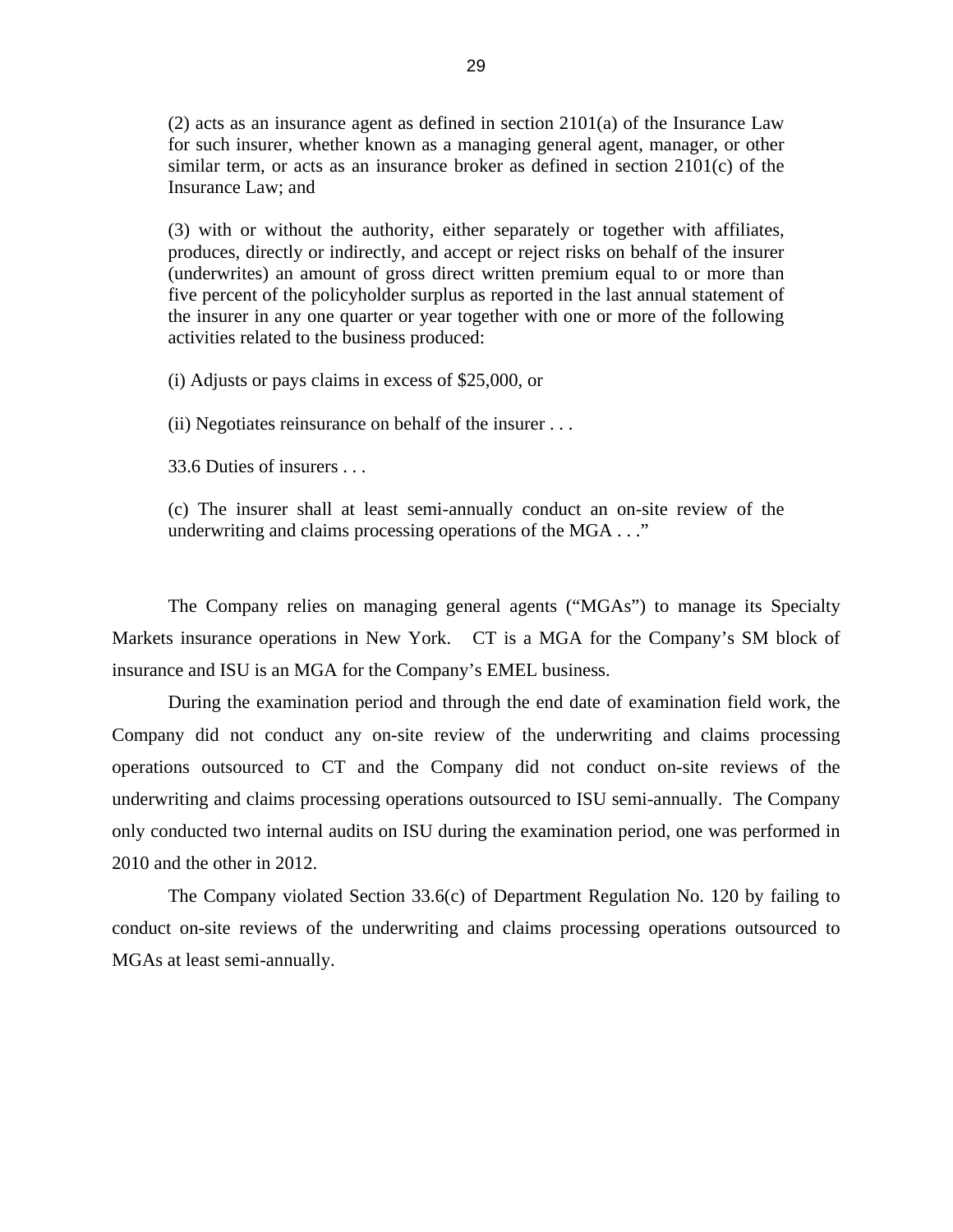$(2)$  acts as an insurance agent as defined in section 2101(a) of the Insurance Law for such insurer, whether known as a managing general agent, manager, or other similar term, or acts as an insurance broker as defined in section 2101(c) of the Insurance Law; and

(3) with or without the authority, either separately or together with affiliates, produces, directly or indirectly, and accept or reject risks on behalf of the insurer (underwrites) an amount of gross direct written premium equal to or more than five percent of the policyholder surplus as reported in the last annual statement of the insurer in any one quarter or year together with one or more of the following activities related to the business produced:

(i) Adjusts or pays claims in excess of \$25,000, or

(ii) Negotiates reinsurance on behalf of the insurer . . .

33.6 Duties of insurers . . .

(c) The insurer shall at least semi-annually conduct an on-site review of the underwriting and claims processing operations of the MGA . . ."

The Company relies on managing general agents ("MGAs") to manage its Specialty Markets insurance operations in New York. CT is a MGA for the Company's SM block of insurance and ISU is an MGA for the Company's EMEL business.

During the examination period and through the end date of examination field work, the Company did not conduct any on-site review of the underwriting and claims processing operations outsourced to CT and the Company did not conduct on-site reviews of the underwriting and claims processing operations outsourced to ISU semi-annually. The Company only conducted two internal audits on ISU during the examination period, one was performed in 2010 and the other in 2012.

The Company violated Section 33.6(c) of Department Regulation No. 120 by failing to conduct on-site reviews of the underwriting and claims processing operations outsourced to MGAs at least semi-annually.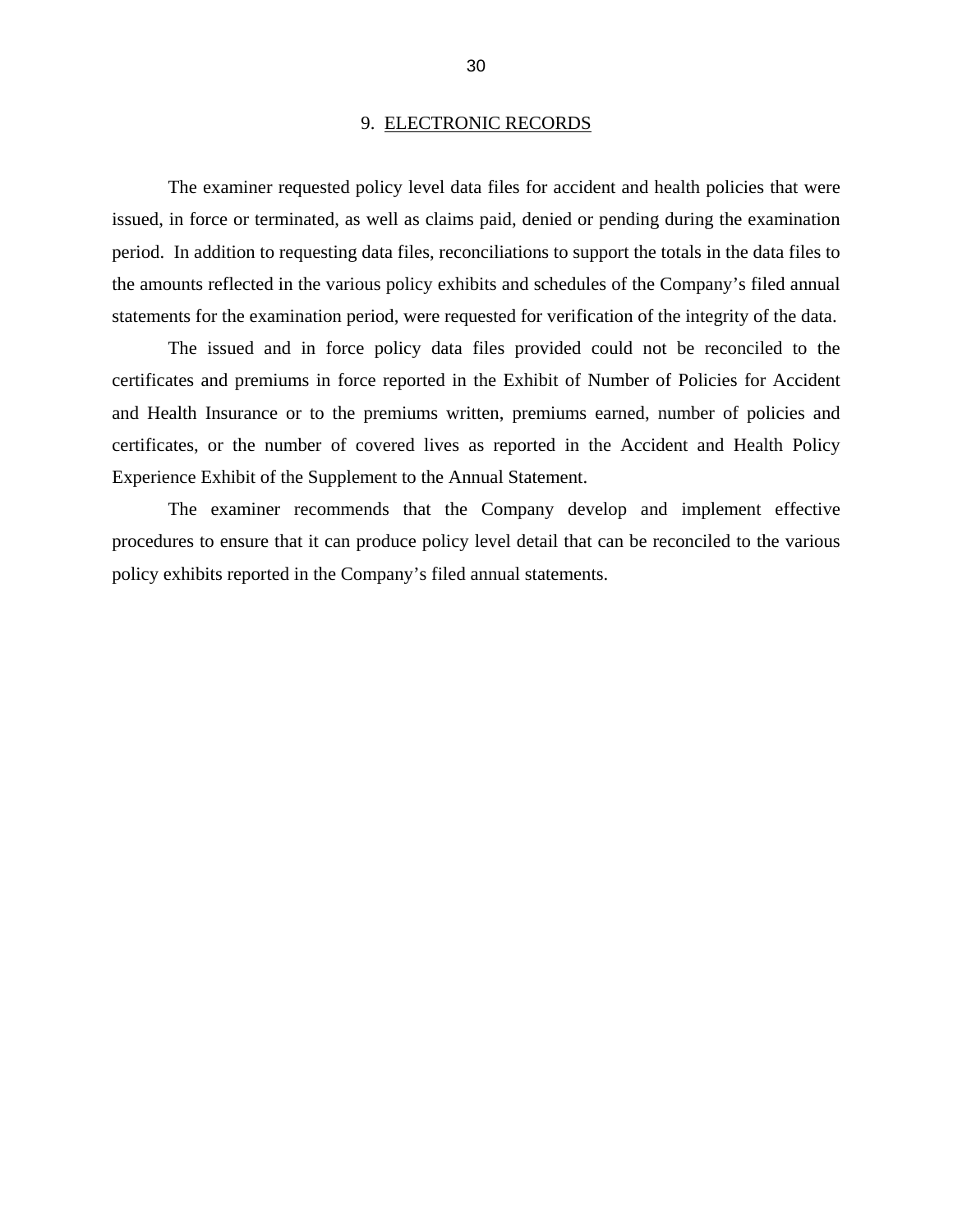#### 9. ELECTRONIC RECORDS

<span id="page-32-0"></span>The examiner requested policy level data files for accident and health policies that were issued, in force or terminated, as well as claims paid, denied or pending during the examination period. In addition to requesting data files, reconciliations to support the totals in the data files to the amounts reflected in the various policy exhibits and schedules of the Company's filed annual statements for the examination period, were requested for verification of the integrity of the data.

The issued and in force policy data files provided could not be reconciled to the certificates and premiums in force reported in the Exhibit of Number of Policies for Accident and Health Insurance or to the premiums written, premiums earned, number of policies and certificates, or the number of covered lives as reported in the Accident and Health Policy Experience Exhibit of the Supplement to the Annual Statement.

The examiner recommends that the Company develop and implement effective procedures to ensure that it can produce policy level detail that can be reconciled to the various policy exhibits reported in the Company's filed annual statements.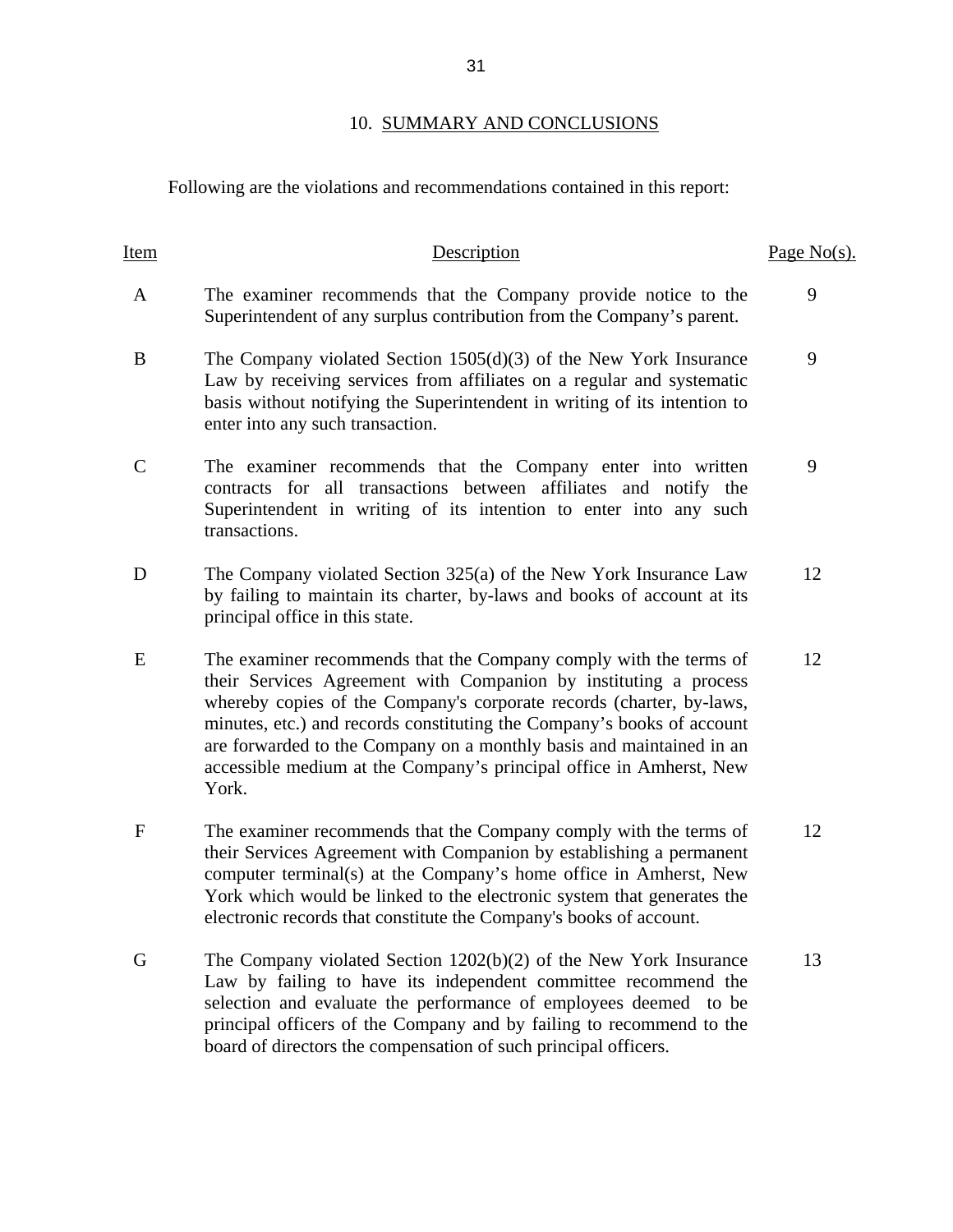## 10. SUMMARY AND CONCLUSIONS

Following are the violations and recommendations contained in this report:

| Item         | Description                                                                                                                                                                                                                                                                                                                                                                                                                                     | Page $No(s)$ . |
|--------------|-------------------------------------------------------------------------------------------------------------------------------------------------------------------------------------------------------------------------------------------------------------------------------------------------------------------------------------------------------------------------------------------------------------------------------------------------|----------------|
| A            | The examiner recommends that the Company provide notice to the<br>Superintendent of any surplus contribution from the Company's parent.                                                                                                                                                                                                                                                                                                         | 9              |
| B            | The Company violated Section $1505(d)(3)$ of the New York Insurance<br>Law by receiving services from affiliates on a regular and systematic<br>basis without notifying the Superintendent in writing of its intention to<br>enter into any such transaction.                                                                                                                                                                                   | 9              |
| $\mathsf{C}$ | The examiner recommends that the Company enter into written<br>contracts for all transactions between affiliates and notify the<br>Superintendent in writing of its intention to enter into any such<br>transactions.                                                                                                                                                                                                                           | 9              |
| D            | The Company violated Section 325(a) of the New York Insurance Law<br>by failing to maintain its charter, by-laws and books of account at its<br>principal office in this state.                                                                                                                                                                                                                                                                 | 12             |
| E            | The examiner recommends that the Company comply with the terms of<br>their Services Agreement with Companion by instituting a process<br>whereby copies of the Company's corporate records (charter, by-laws,<br>minutes, etc.) and records constituting the Company's books of account<br>are forwarded to the Company on a monthly basis and maintained in an<br>accessible medium at the Company's principal office in Amherst, New<br>York. | 12             |
| $\mathbf{F}$ | The examiner recommends that the Company comply with the terms of<br>their Services Agreement with Companion by establishing a permanent<br>computer terminal(s) at the Company's home office in Amherst, New<br>York which would be linked to the electronic system that generates the<br>electronic records that constitute the Company's books of account.                                                                                   | 12             |
| G            | The Company violated Section $1202(b)(2)$ of the New York Insurance<br>Law by failing to have its independent committee recommend the<br>selection and evaluate the performance of employees deemed to be<br>principal officers of the Company and by failing to recommend to the                                                                                                                                                               | 13             |

board of directors the compensation of such principal officers.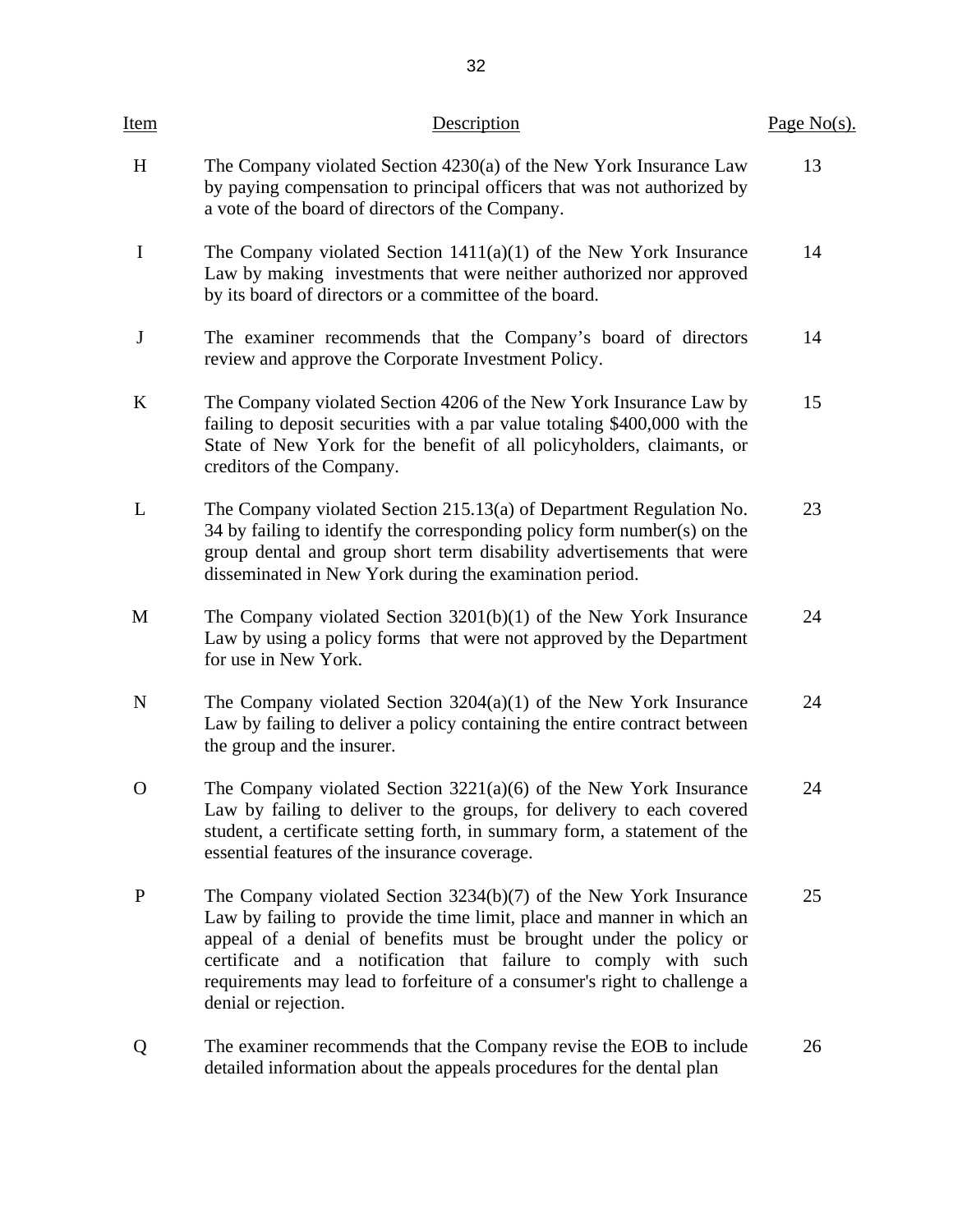| Item         | Description                                                                                                                                                                                                                                                                                                                                                                                | Page $No(s)$ . |
|--------------|--------------------------------------------------------------------------------------------------------------------------------------------------------------------------------------------------------------------------------------------------------------------------------------------------------------------------------------------------------------------------------------------|----------------|
| H            | The Company violated Section 4230(a) of the New York Insurance Law<br>by paying compensation to principal officers that was not authorized by<br>a vote of the board of directors of the Company.                                                                                                                                                                                          | 13             |
| $\mathbf I$  | The Company violated Section $1411(a)(1)$ of the New York Insurance<br>Law by making investments that were neither authorized nor approved<br>by its board of directors or a committee of the board.                                                                                                                                                                                       | 14             |
| $\mathbf J$  | The examiner recommends that the Company's board of directors<br>review and approve the Corporate Investment Policy.                                                                                                                                                                                                                                                                       | 14             |
| $\bf K$      | The Company violated Section 4206 of the New York Insurance Law by<br>failing to deposit securities with a par value totaling \$400,000 with the<br>State of New York for the benefit of all policyholders, claimants, or<br>creditors of the Company.                                                                                                                                     | 15             |
| L            | The Company violated Section 215.13(a) of Department Regulation No.<br>34 by failing to identify the corresponding policy form number(s) on the<br>group dental and group short term disability advertisements that were<br>disseminated in New York during the examination period.                                                                                                        | 23             |
| M            | The Company violated Section $3201(b)(1)$ of the New York Insurance<br>Law by using a policy forms that were not approved by the Department<br>for use in New York.                                                                                                                                                                                                                        | 24             |
| $\mathbf N$  | The Company violated Section $3204(a)(1)$ of the New York Insurance<br>Law by failing to deliver a policy containing the entire contract between<br>the group and the insurer.                                                                                                                                                                                                             | 24             |
| O            | The Company violated Section $3221(a)(6)$ of the New York Insurance<br>Law by failing to deliver to the groups, for delivery to each covered<br>student, a certificate setting forth, in summary form, a statement of the<br>essential features of the insurance coverage.                                                                                                                 | 24             |
| $\mathbf{P}$ | The Company violated Section $3234(b)(7)$ of the New York Insurance<br>Law by failing to provide the time limit, place and manner in which an<br>appeal of a denial of benefits must be brought under the policy or<br>certificate and a notification that failure to comply with such<br>requirements may lead to forfeiture of a consumer's right to challenge a<br>denial or rejection. | 25             |
| Q            | The examiner recommends that the Company revise the EOB to include<br>detailed information about the appeals procedures for the dental plan                                                                                                                                                                                                                                                | 26             |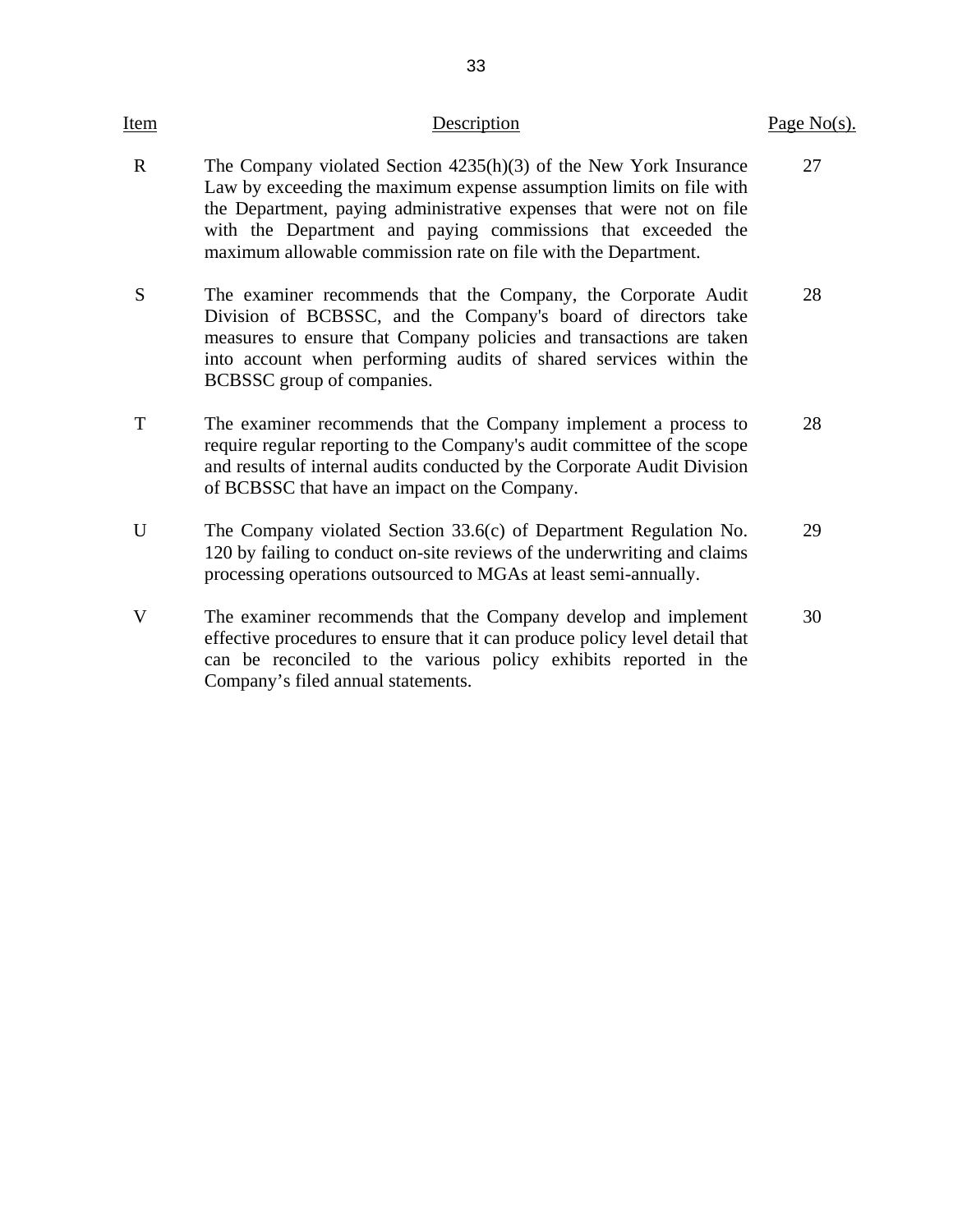| Item         | Description                                                                                                                                                                                                                                                                                                                                          | Page $No(s)$ . |
|--------------|------------------------------------------------------------------------------------------------------------------------------------------------------------------------------------------------------------------------------------------------------------------------------------------------------------------------------------------------------|----------------|
| $\mathbf{R}$ | The Company violated Section $4235(h)(3)$ of the New York Insurance<br>Law by exceeding the maximum expense assumption limits on file with<br>the Department, paying administrative expenses that were not on file<br>with the Department and paying commissions that exceeded the<br>maximum allowable commission rate on file with the Department. | 27             |
| S            | The examiner recommends that the Company, the Corporate Audit<br>Division of BCBSSC, and the Company's board of directors take<br>measures to ensure that Company policies and transactions are taken<br>into account when performing audits of shared services within the<br>BCBSSC group of companies.                                             | 28             |
| T            | The examiner recommends that the Company implement a process to<br>require regular reporting to the Company's audit committee of the scope<br>and results of internal audits conducted by the Corporate Audit Division<br>of BCBSSC that have an impact on the Company.                                                                              | 28             |
| U            | The Company violated Section 33.6(c) of Department Regulation No.<br>120 by failing to conduct on-site reviews of the underwriting and claims<br>processing operations outsourced to MGAs at least semi-annually.                                                                                                                                    | 29             |
| V            | The examiner recommends that the Company develop and implement<br>effective procedures to ensure that it can produce policy level detail that<br>can be reconciled to the various policy exhibits reported in the<br>Company's filed annual statements.                                                                                              | 30             |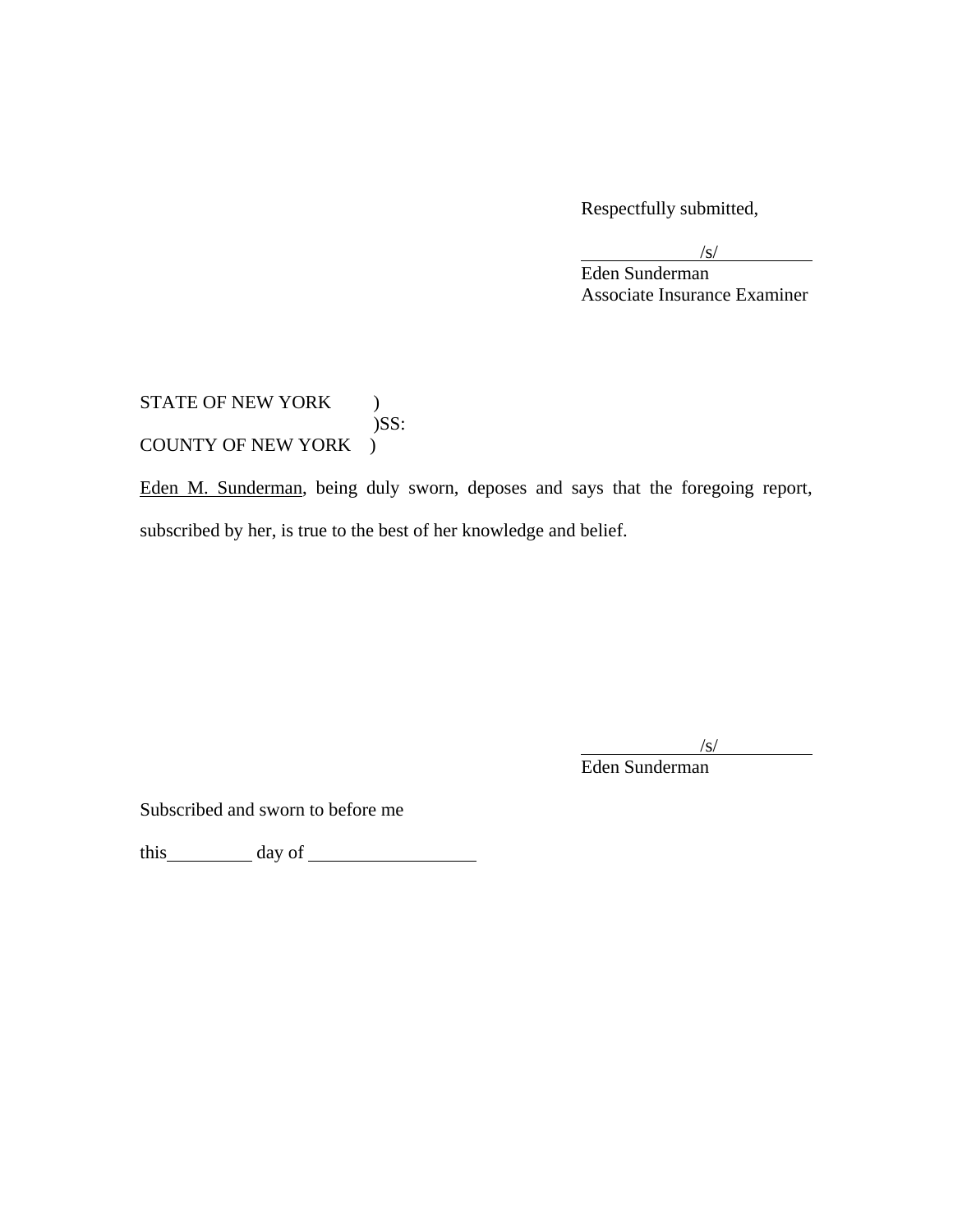Respectfully submitted,

l

 $\sqrt{s/2}$ 

Eden Sunderman Associate Insurance Examiner

STATE OF NEW YORK )  $)$ SS: COUNTY OF NEW YORK )

Eden M. Sunderman, being duly sworn, deposes and says that the foregoing report, subscribed by her, is true to the best of her knowledge and belief.

 $\frac{1}{\sqrt{S}}$ 

Eden Sunderman

Subscribed and sworn to before me

this day of